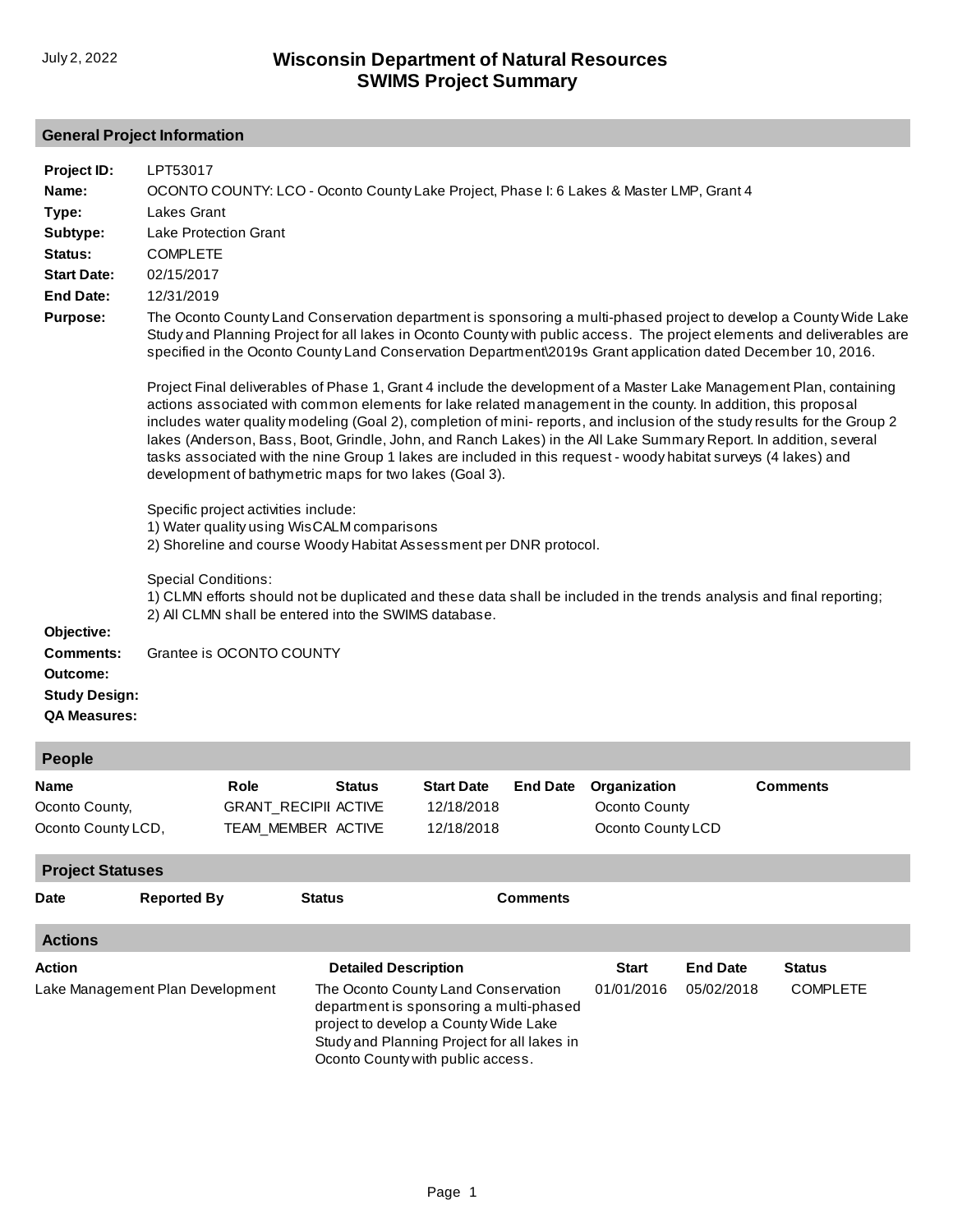#### **General Project Information**

| Project ID:                                                                 | LPT53017                                                                                                                                                                                                                                                                                                                                                                                                                                                                                                                                                                                                                                                             |
|-----------------------------------------------------------------------------|----------------------------------------------------------------------------------------------------------------------------------------------------------------------------------------------------------------------------------------------------------------------------------------------------------------------------------------------------------------------------------------------------------------------------------------------------------------------------------------------------------------------------------------------------------------------------------------------------------------------------------------------------------------------|
| Name:                                                                       | OCONTO COUNTY: LCO - Oconto County Lake Project, Phase I: 6 Lakes & Master LMP, Grant 4                                                                                                                                                                                                                                                                                                                                                                                                                                                                                                                                                                              |
| Type:                                                                       | <b>Lakes Grant</b>                                                                                                                                                                                                                                                                                                                                                                                                                                                                                                                                                                                                                                                   |
| Subtype:                                                                    | <b>Lake Protection Grant</b>                                                                                                                                                                                                                                                                                                                                                                                                                                                                                                                                                                                                                                         |
| Status:                                                                     | <b>COMPLETE</b>                                                                                                                                                                                                                                                                                                                                                                                                                                                                                                                                                                                                                                                      |
| <b>Start Date:</b>                                                          | 02/15/2017                                                                                                                                                                                                                                                                                                                                                                                                                                                                                                                                                                                                                                                           |
| <b>End Date:</b>                                                            | 12/31/2019                                                                                                                                                                                                                                                                                                                                                                                                                                                                                                                                                                                                                                                           |
| <b>Purpose:</b>                                                             | The Oconto County Land Conservation department is sponsoring a multi-phased project to develop a County Wide Lake<br>Study and Planning Project for all lakes in Oconto County with public access. The project elements and deliverables are<br>specified in the Oconto County Land Conservation Department\2019s Grant application dated December 10, 2016.                                                                                                                                                                                                                                                                                                         |
|                                                                             | Project Final deliverables of Phase 1, Grant 4 include the development of a Master Lake Management Plan, containing<br>actions associated with common elements for lake related management in the county. In addition, this proposal<br>includes water quality modeling (Goal 2), completion of mini- reports, and inclusion of the study results for the Group 2<br>lakes (Anderson, Bass, Boot, Grindle, John, and Ranch Lakes) in the All Lake Summary Report. In addition, several<br>tasks associated with the nine Group 1 lakes are included in this request - woody habitat surveys (4 lakes) and<br>development of bathymetric maps for two lakes (Goal 3). |
|                                                                             | Specific project activities include:<br>1) Water quality using WisCALM comparisons<br>2) Shoreline and course Woody Habitat Assessment per DNR protocol.                                                                                                                                                                                                                                                                                                                                                                                                                                                                                                             |
| Objective:                                                                  | <b>Special Conditions:</b><br>1) CLMN efforts should not be duplicated and these data shall be included in the trends analysis and final reporting;<br>2) All CLMN shall be entered into the SWIMS database.                                                                                                                                                                                                                                                                                                                                                                                                                                                         |
| <b>Comments:</b><br>Outcome:<br><b>Study Design:</b><br><b>QA Measures:</b> | Grantee is OCONTO COUNTY                                                                                                                                                                                                                                                                                                                                                                                                                                                                                                                                                                                                                                             |

| People                        |                                  |                                     |                             |                                                                                |                 |                               |                 |                 |  |
|-------------------------------|----------------------------------|-------------------------------------|-----------------------------|--------------------------------------------------------------------------------|-----------------|-------------------------------|-----------------|-----------------|--|
| <b>Name</b><br>Oconto County, |                                  | Role<br><b>GRANT RECIPII ACTIVE</b> | <b>Status</b>               | <b>Start Date</b><br>12/18/2018                                                | <b>End Date</b> | Organization<br>Oconto County |                 | <b>Comments</b> |  |
| Oconto County LCD,            |                                  | TEAM MEMBER ACTIVE                  |                             | 12/18/2018                                                                     |                 | Oconto County LCD             |                 |                 |  |
| <b>Project Statuses</b>       |                                  |                                     |                             |                                                                                |                 |                               |                 |                 |  |
| <b>Date</b>                   | <b>Reported By</b>               |                                     | <b>Status</b>               |                                                                                | <b>Comments</b> |                               |                 |                 |  |
| <b>Actions</b>                |                                  |                                     |                             |                                                                                |                 |                               |                 |                 |  |
| <b>Action</b>                 |                                  |                                     | <b>Detailed Description</b> |                                                                                |                 | <b>Start</b>                  | <b>End Date</b> | <b>Status</b>   |  |
|                               | Lake Management Plan Development |                                     |                             | The Oconto County Land Conservation<br>department is sponsoring a multi-phased |                 | 01/01/2016                    | 05/02/2018      | <b>COMPLETE</b> |  |

project to develop a County Wide Lake Study and Planning Project for all lakes in Oconto County with public access.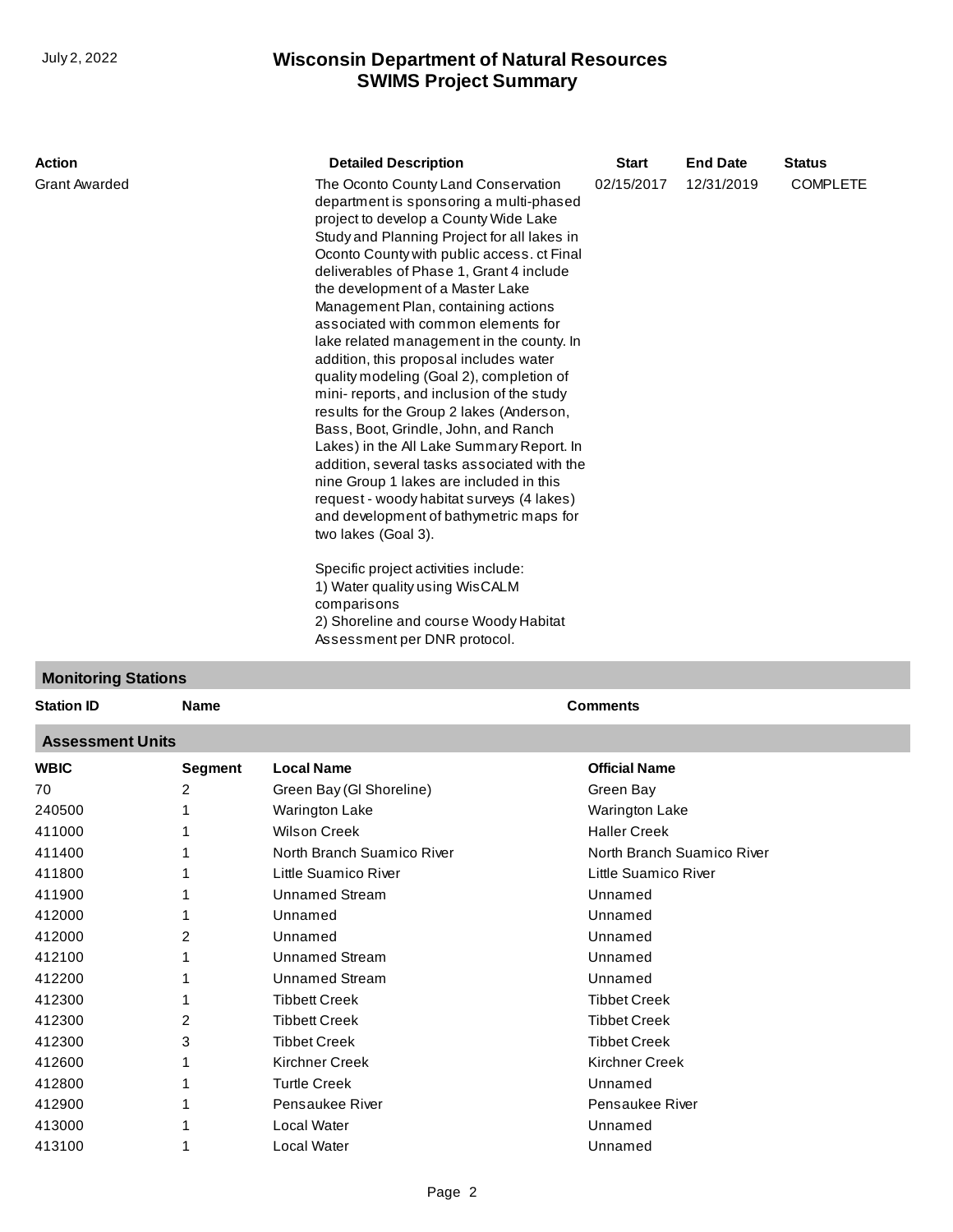| Action               | <b>Detailed Description</b>                                                                                                                                                                                                                                                                                                                                                                                                                                                                                                                                                                                                                                                                                                                                                                                                                                                                                 | <b>Start</b> | <b>End Date</b> | <b>Status</b>   |
|----------------------|-------------------------------------------------------------------------------------------------------------------------------------------------------------------------------------------------------------------------------------------------------------------------------------------------------------------------------------------------------------------------------------------------------------------------------------------------------------------------------------------------------------------------------------------------------------------------------------------------------------------------------------------------------------------------------------------------------------------------------------------------------------------------------------------------------------------------------------------------------------------------------------------------------------|--------------|-----------------|-----------------|
| <b>Grant Awarded</b> | The Oconto County Land Conservation<br>department is sponsoring a multi-phased<br>project to develop a County Wide Lake<br>Study and Planning Project for all lakes in<br>Oconto County with public access. ct Final<br>deliverables of Phase 1, Grant 4 include<br>the development of a Master Lake<br>Management Plan, containing actions<br>associated with common elements for<br>lake related management in the county. In<br>addition, this proposal includes water<br>quality modeling (Goal 2), completion of<br>mini-reports, and inclusion of the study<br>results for the Group 2 lakes (Anderson,<br>Bass, Boot, Grindle, John, and Ranch<br>Lakes) in the All Lake Summary Report. In<br>addition, several tasks associated with the<br>nine Group 1 lakes are included in this<br>request - woody habitat surveys (4 lakes)<br>and development of bathymetric maps for<br>two lakes (Goal 3). | 02/15/2017   | 12/31/2019      | <b>COMPLETE</b> |
|                      | Specific project activities include:<br>1) Water quality using WisCALM<br>comparisons<br>2) Shoreline and course Woody Habitat<br>Assessment per DNR protocol.                                                                                                                                                                                                                                                                                                                                                                                                                                                                                                                                                                                                                                                                                                                                              |              |                 |                 |

### **Monitoring Stations**

| <b>Station ID</b>       | <b>Name</b> |                            | <b>Comments</b>            |  |  |  |  |
|-------------------------|-------------|----------------------------|----------------------------|--|--|--|--|
| <b>Assessment Units</b> |             |                            |                            |  |  |  |  |
| <b>WBIC</b>             | Segment     | <b>Local Name</b>          | <b>Official Name</b>       |  |  |  |  |
| 70                      | 2           | Green Bay (GI Shoreline)   | Green Bay                  |  |  |  |  |
| 240500                  |             | <b>Warington Lake</b>      | <b>Warington Lake</b>      |  |  |  |  |
| 411000                  |             | <b>Wilson Creek</b>        | <b>Haller Creek</b>        |  |  |  |  |
| 411400                  |             | North Branch Suamico River | North Branch Suamico River |  |  |  |  |
| 411800                  |             | Little Suamico River       | Little Suamico River       |  |  |  |  |
| 411900                  |             | <b>Unnamed Stream</b>      | Unnamed                    |  |  |  |  |
| 412000                  |             | Unnamed                    | Unnamed                    |  |  |  |  |
| 412000                  | 2           | Unnamed                    | Unnamed                    |  |  |  |  |
| 412100                  |             | <b>Unnamed Stream</b>      | Unnamed                    |  |  |  |  |
| 412200                  |             | <b>Unnamed Stream</b>      | Unnamed                    |  |  |  |  |
| 412300                  |             | <b>Tibbett Creek</b>       | <b>Tibbet Creek</b>        |  |  |  |  |
| 412300                  | 2           | <b>Tibbett Creek</b>       | <b>Tibbet Creek</b>        |  |  |  |  |
| 412300                  | 3           | <b>Tibbet Creek</b>        | <b>Tibbet Creek</b>        |  |  |  |  |
| 412600                  |             | Kirchner Creek             | Kirchner Creek             |  |  |  |  |
| 412800                  |             | <b>Turtle Creek</b>        | Unnamed                    |  |  |  |  |
| 412900                  |             | Pensaukee River            | Pensaukee River            |  |  |  |  |
| 413000                  |             | Local Water                | Unnamed                    |  |  |  |  |
| 413100                  |             | Local Water                | Unnamed                    |  |  |  |  |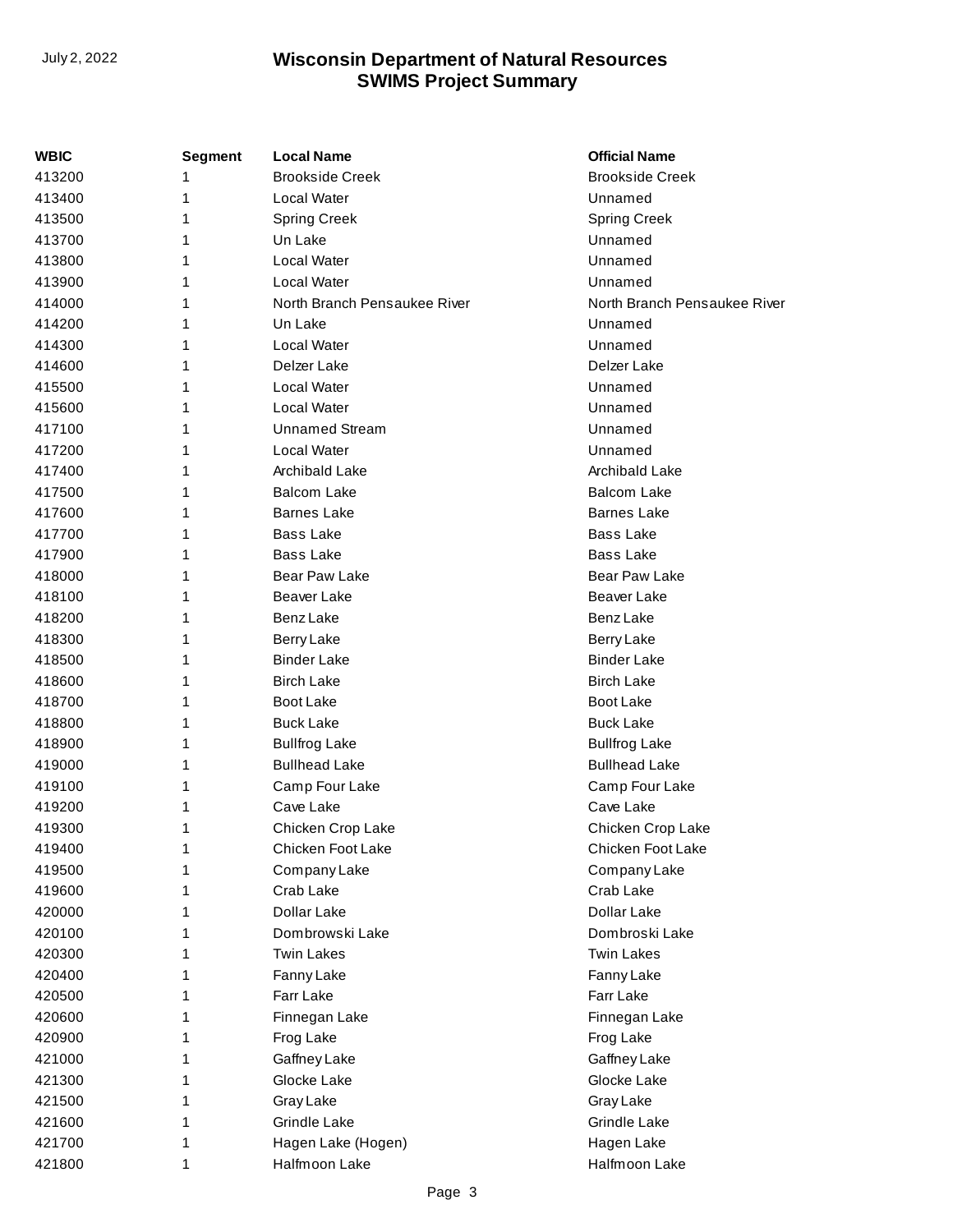| WBIC   | Segment | <b>Local Name</b>            | <b>Official Name</b>         |
|--------|---------|------------------------------|------------------------------|
| 413200 | 1       | <b>Brookside Creek</b>       | <b>Brookside Creek</b>       |
| 413400 | 1       | <b>Local Water</b>           | Unnamed                      |
| 413500 | 1       | <b>Spring Creek</b>          | <b>Spring Creek</b>          |
| 413700 | 1       | Un Lake                      | Unnamed                      |
| 413800 | 1       | Local Water                  | Unnamed                      |
| 413900 | 1       | <b>Local Water</b>           | Unnamed                      |
| 414000 | 1       | North Branch Pensaukee River | North Branch Pensaukee River |
| 414200 | 1       | Un Lake                      | Unnamed                      |
| 414300 | 1       | <b>Local Water</b>           | Unnamed                      |
| 414600 | 1       | Delzer Lake                  | Delzer Lake                  |
| 415500 | 1       | <b>Local Water</b>           | Unnamed                      |
| 415600 | 1       | Local Water                  | Unnamed                      |
| 417100 | 1       | <b>Unnamed Stream</b>        | Unnamed                      |
| 417200 | 1       | <b>Local Water</b>           | Unnamed                      |
| 417400 | 1       | Archibald Lake               | Archibald Lake               |
| 417500 | 1       | <b>Balcom Lake</b>           | <b>Balcom Lake</b>           |
| 417600 | 1       | <b>Barnes Lake</b>           | <b>Barnes Lake</b>           |
| 417700 | 1       | <b>Bass Lake</b>             | <b>Bass Lake</b>             |
| 417900 | 1       | <b>Bass Lake</b>             | <b>Bass Lake</b>             |
| 418000 | 1       | <b>Bear Paw Lake</b>         | Bear Paw Lake                |
| 418100 | 1       | Beaver Lake                  | <b>Beaver Lake</b>           |
| 418200 | 1       | <b>Benz Lake</b>             | Benz Lake                    |
| 418300 | 1       | <b>Berry Lake</b>            | <b>Berry Lake</b>            |
| 418500 | 1       | <b>Binder Lake</b>           | <b>Binder Lake</b>           |
| 418600 | 1       | <b>Birch Lake</b>            | <b>Birch Lake</b>            |
| 418700 | 1       | Boot Lake                    | <b>Boot Lake</b>             |
| 418800 | 1       | <b>Buck Lake</b>             | <b>Buck Lake</b>             |
| 418900 | 1       | <b>Bullfrog Lake</b>         | <b>Bullfrog Lake</b>         |
| 419000 | 1       | <b>Bullhead Lake</b>         | <b>Bullhead Lake</b>         |
| 419100 | 1       | Camp Four Lake               | Camp Four Lake               |
| 419200 | 1       | Cave Lake                    | Cave Lake                    |
| 419300 | 1       | Chicken Crop Lake            | Chicken Crop Lake            |
| 419400 | 1       | Chicken Foot Lake            | Chicken Foot Lake            |
| 419500 |         | Company Lake                 | Company Lake                 |
| 419600 |         | Crab Lake                    | Crab Lake                    |
| 420000 | 1       | Dollar Lake                  | Dollar Lake                  |
| 420100 | 1       | Dombrowski Lake              | Dombroski Lake               |
| 420300 | 1       | <b>Twin Lakes</b>            | <b>Twin Lakes</b>            |
| 420400 | 1       | Fanny Lake                   | Fanny Lake                   |
| 420500 | 1       | Farr Lake                    | Farr Lake                    |
| 420600 | 1       | Finnegan Lake                | Finnegan Lake                |
| 420900 | 1       | Frog Lake                    | Frog Lake                    |
| 421000 | 1       | Gaffney Lake                 | Gaffney Lake                 |
| 421300 |         | Glocke Lake                  | Glocke Lake                  |
| 421500 | 1       | Gray Lake                    | Gray Lake                    |
| 421600 | 1       | Grindle Lake                 | Grindle Lake                 |
| 421700 | 1       | Hagen Lake (Hogen)           | Hagen Lake                   |
| 421800 | 1       | Halfmoon Lake                | Halfmoon Lake                |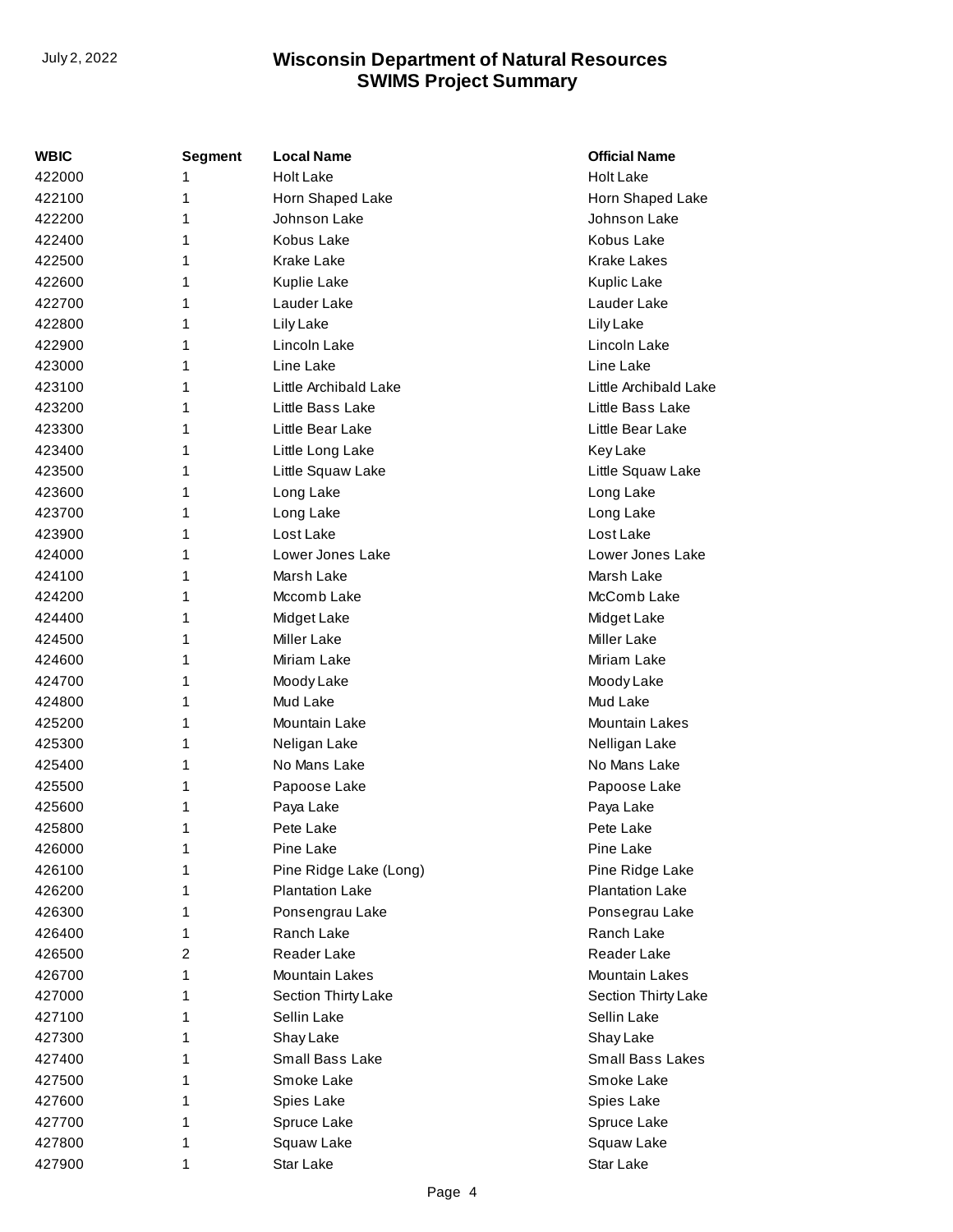| WBIC   | <b>Segment</b> | <b>Local Name</b>      | <b>Official Name</b>    |
|--------|----------------|------------------------|-------------------------|
| 422000 | 1              | <b>Holt Lake</b>       | <b>Holt Lake</b>        |
| 422100 | 1              | Horn Shaped Lake       | Horn Shaped Lake        |
| 422200 | 1              | Johnson Lake           | Johnson Lake            |
| 422400 | 1              | Kobus Lake             | Kobus Lake              |
| 422500 | 1              | Krake Lake             | <b>Krake Lakes</b>      |
| 422600 | 1              | Kuplie Lake            | Kuplic Lake             |
| 422700 | 1              | Lauder Lake            | Lauder Lake             |
| 422800 | 1              | <b>Lily Lake</b>       | Lily Lake               |
| 422900 | 1              | Lincoln Lake           | Lincoln Lake            |
| 423000 | 1              | Line Lake              | Line Lake               |
| 423100 | 1              | Little Archibald Lake  | Little Archibald Lake   |
| 423200 | 1              | Little Bass Lake       | Little Bass Lake        |
| 423300 | 1              | Little Bear Lake       | Little Bear Lake        |
| 423400 | 1              | Little Long Lake       | <b>Key Lake</b>         |
| 423500 | 1              | Little Squaw Lake      | Little Squaw Lake       |
| 423600 | 1              | Long Lake              | Long Lake               |
| 423700 | 1              | Long Lake              | Long Lake               |
| 423900 | 1              | Lost Lake              | Lost Lake               |
| 424000 | 1              | Lower Jones Lake       | Lower Jones Lake        |
| 424100 | 1              | Marsh Lake             | Marsh Lake              |
| 424200 | 1              | Mccomb Lake            | McComb Lake             |
| 424400 | 1              | Midget Lake            | Midget Lake             |
| 424500 | 1              | <b>Miller Lake</b>     | <b>Miller Lake</b>      |
| 424600 | 1              | Miriam Lake            | Miriam Lake             |
| 424700 | 1              | Moody Lake             | Moody Lake              |
| 424800 | 1              | Mud Lake               | Mud Lake                |
| 425200 | 1              | Mountain Lake          | <b>Mountain Lakes</b>   |
| 425300 | 1              | Neligan Lake           | Nelligan Lake           |
| 425400 | 1              | No Mans Lake           | No Mans Lake            |
| 425500 | 1              | Papoose Lake           | Papoose Lake            |
| 425600 | 1              | Paya Lake              | Paya Lake               |
| 425800 | 1              | Pete Lake              | Pete Lake               |
| 426000 | 1              | Pine Lake              | Pine Lake               |
| 426100 | 1              | Pine Ridge Lake (Long) | Pine Ridge Lake         |
| 426200 | 1              | <b>Plantation Lake</b> | <b>Plantation Lake</b>  |
| 426300 | 1              | Ponsengrau Lake        | Ponsegrau Lake          |
| 426400 | 1              | Ranch Lake             | Ranch Lake              |
| 426500 | 2              | Reader Lake            | Reader Lake             |
| 426700 | 1              | <b>Mountain Lakes</b>  | Mountain Lakes          |
| 427000 | 1              | Section Thirty Lake    | Section Thirty Lake     |
| 427100 | 1              | Sellin Lake            | Sellin Lake             |
| 427300 | 1              | Shay Lake              | Shay Lake               |
| 427400 | 1              | Small Bass Lake        | <b>Small Bass Lakes</b> |
| 427500 | 1              | Smoke Lake             | Smoke Lake              |
| 427600 | 1              | Spies Lake             | Spies Lake              |
| 427700 | 1              | Spruce Lake            | Spruce Lake             |
| 427800 | 1              | Squaw Lake             | Squaw Lake              |
| 427900 | 1              | Star Lake              | Star Lake               |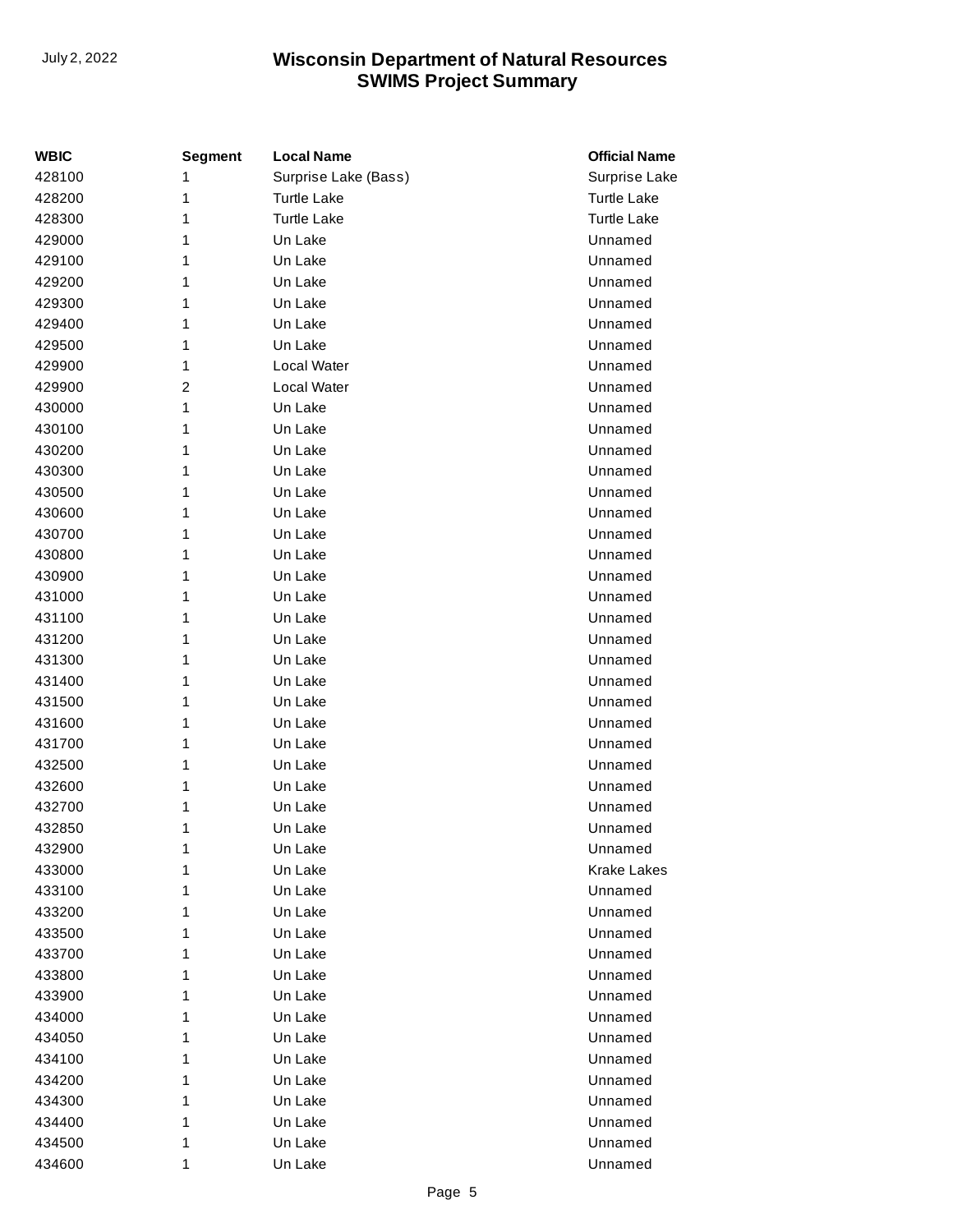| WBIC   | <b>Segment</b> | <b>Local Name</b>    | <b>Official Name</b> |
|--------|----------------|----------------------|----------------------|
| 428100 | 1              | Surprise Lake (Bass) | Surprise Lake        |
| 428200 | 1              | <b>Turtle Lake</b>   | <b>Turtle Lake</b>   |
| 428300 | 1              | <b>Turtle Lake</b>   | <b>Turtle Lake</b>   |
| 429000 | 1              | Un Lake              | Unnamed              |
| 429100 | 1              | Un Lake              | Unnamed              |
| 429200 | 1              | Un Lake              | Unnamed              |
| 429300 | 1              | Un Lake              | Unnamed              |
| 429400 | 1              | Un Lake              | Unnamed              |
| 429500 | 1              | Un Lake              | Unnamed              |
| 429900 | 1              | Local Water          | Unnamed              |
| 429900 | $\overline{2}$ | Local Water          | Unnamed              |
| 430000 | 1              | Un Lake              | Unnamed              |
| 430100 | 1              | Un Lake              | Unnamed              |
| 430200 | 1              | Un Lake              | Unnamed              |
| 430300 | 1              | Un Lake              | Unnamed              |
| 430500 | 1              | Un Lake              | Unnamed              |
| 430600 | 1              | Un Lake              | Unnamed              |
| 430700 | 1              | Un Lake              | Unnamed              |
| 430800 | 1              | Un Lake              | Unnamed              |
| 430900 | 1              | Un Lake              | Unnamed              |
| 431000 | 1              | Un Lake              | Unnamed              |
| 431100 | 1              | Un Lake              | Unnamed              |
| 431200 | 1              | Un Lake              | Unnamed              |
| 431300 | 1              | Un Lake              | Unnamed              |
| 431400 | 1              | Un Lake              | Unnamed              |
| 431500 | 1              | Un Lake              | Unnamed              |
| 431600 | 1              | Un Lake              | Unnamed              |
| 431700 | 1              | Un Lake              | Unnamed              |
| 432500 | 1              | Un Lake              | Unnamed              |
| 432600 | 1              | Un Lake              | Unnamed              |
| 432700 | 1              | Un Lake              | Unnamed              |
| 432850 | 1              | Un Lake              | Unnamed              |
| 432900 | 1              | Un Lake              | Unnamed              |
| 433000 | 1              | Un Lake              | <b>Krake Lakes</b>   |
| 433100 | 1              | Un Lake              | Unnamed              |
| 433200 | 1              | Un Lake              | Unnamed              |
| 433500 | 1              | Un Lake              | Unnamed              |
| 433700 | 1              | Un Lake              | Unnamed              |
| 433800 | 1              | Un Lake              | Unnamed              |
| 433900 | 1              | Un Lake              | Unnamed              |
| 434000 | 1              | Un Lake              | Unnamed              |
| 434050 | 1              | Un Lake              | Unnamed              |
| 434100 | 1              | Un Lake              | Unnamed              |
| 434200 | 1              | Un Lake              | Unnamed              |
| 434300 | 1              | Un Lake              | Unnamed              |
| 434400 | 1              | Un Lake              | Unnamed              |
| 434500 | 1              | Un Lake              | Unnamed              |
| 434600 | 1              | Un Lake              | Unnamed              |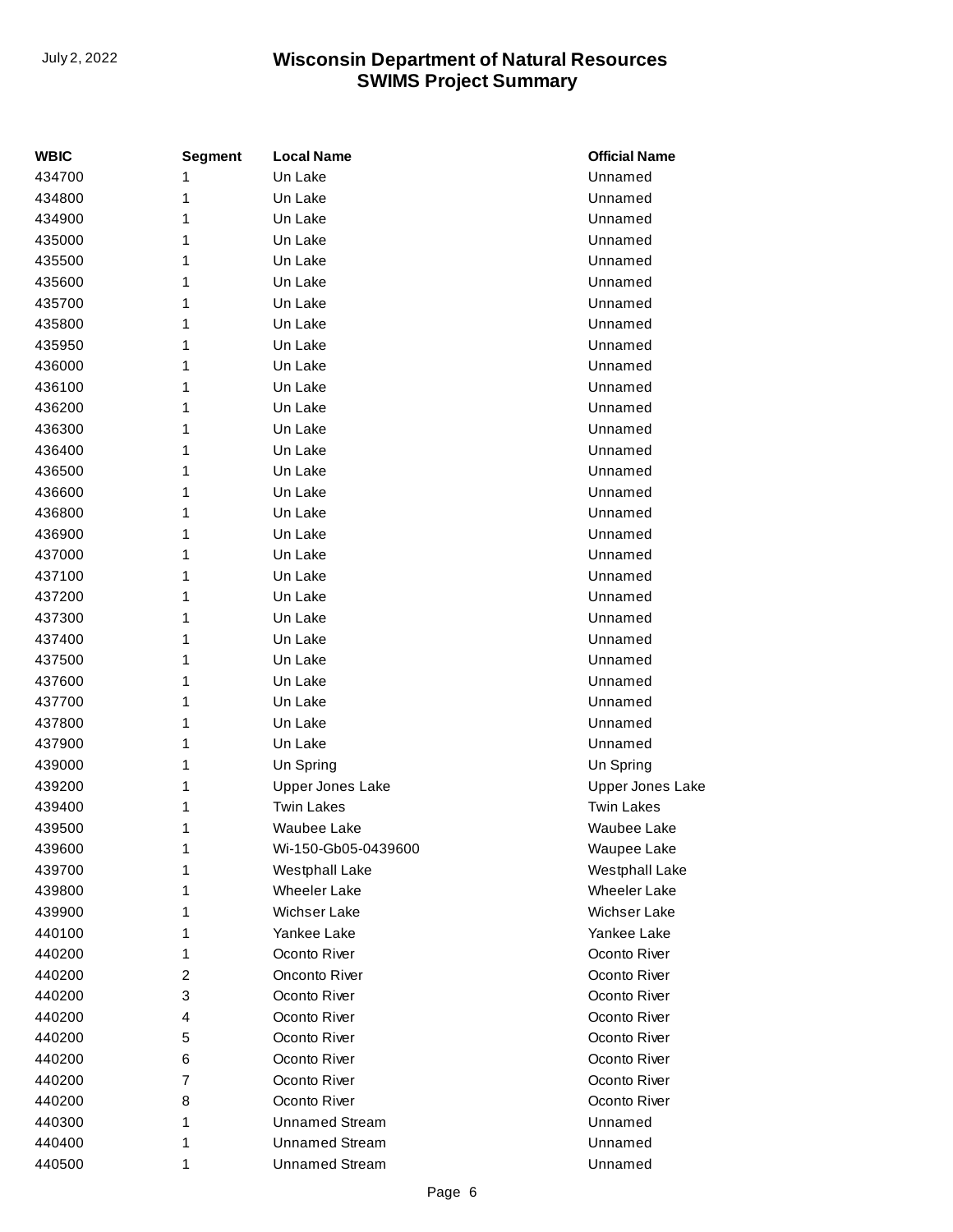| WBIC   | <b>Segment</b> | <b>Local Name</b>       | <b>Official Name</b>    |
|--------|----------------|-------------------------|-------------------------|
| 434700 | 1              | Un Lake                 | Unnamed                 |
| 434800 | 1              | Un Lake                 | Unnamed                 |
| 434900 | 1              | Un Lake                 | Unnamed                 |
| 435000 | 1              | Un Lake                 | Unnamed                 |
| 435500 | 1              | Un Lake                 | Unnamed                 |
| 435600 | 1              | Un Lake                 | Unnamed                 |
| 435700 | 1              | Un Lake                 | Unnamed                 |
| 435800 | 1              | Un Lake                 | Unnamed                 |
| 435950 | 1              | Un Lake                 | Unnamed                 |
| 436000 | 1              | Un Lake                 | Unnamed                 |
| 436100 | 1              | Un Lake                 | Unnamed                 |
| 436200 | 1              | Un Lake                 | Unnamed                 |
| 436300 | 1              | Un Lake                 | Unnamed                 |
| 436400 | 1              | Un Lake                 | Unnamed                 |
| 436500 | 1              | Un Lake                 | Unnamed                 |
| 436600 | 1              | Un Lake                 | Unnamed                 |
| 436800 | 1              | Un Lake                 | Unnamed                 |
| 436900 | 1              | Un Lake                 | Unnamed                 |
| 437000 | 1              | Un Lake                 | Unnamed                 |
| 437100 | 1              | Un Lake                 | Unnamed                 |
| 437200 | 1              | Un Lake                 | Unnamed                 |
| 437300 | 1              | Un Lake                 | Unnamed                 |
| 437400 | 1              | Un Lake                 | Unnamed                 |
| 437500 | 1              | Un Lake                 | Unnamed                 |
| 437600 | 1              | Un Lake                 | Unnamed                 |
| 437700 | 1              | Un Lake                 | Unnamed                 |
| 437800 | 1              | Un Lake                 | Unnamed                 |
| 437900 | 1              | Un Lake                 | Unnamed                 |
| 439000 | 1              | Un Spring               | Un Spring               |
| 439200 | 1              | <b>Upper Jones Lake</b> | <b>Upper Jones Lake</b> |
| 439400 | 1              | <b>Twin Lakes</b>       | <b>Twin Lakes</b>       |
| 439500 | 1              | Waubee Lake             | Waubee Lake             |
| 439600 | 1              | Wi-150-Gb05-0439600     | Waupee Lake             |
| 439700 | 1              | <b>Westphall Lake</b>   | Westphall Lake          |
| 439800 | 1              | <b>Wheeler Lake</b>     | <b>Wheeler Lake</b>     |
| 439900 | 1              | <b>Wichser Lake</b>     | <b>Wichser Lake</b>     |
| 440100 | 1              | Yankee Lake             | Yankee Lake             |
| 440200 | 1              | Oconto River            | Oconto River            |
| 440200 | 2              | Onconto River           | Oconto River            |
| 440200 | 3              | Oconto River            | Oconto River            |
| 440200 | 4              | Oconto River            | Oconto River            |
| 440200 | 5              | Oconto River            | Oconto River            |
| 440200 | 6              | Oconto River            | Oconto River            |
| 440200 | 7              | Oconto River            | Oconto River            |
| 440200 | 8              | Oconto River            | Oconto River            |
| 440300 | 1              | <b>Unnamed Stream</b>   | Unnamed                 |
| 440400 | 1              | <b>Unnamed Stream</b>   | Unnamed                 |
| 440500 | 1              | <b>Unnamed Stream</b>   | Unnamed                 |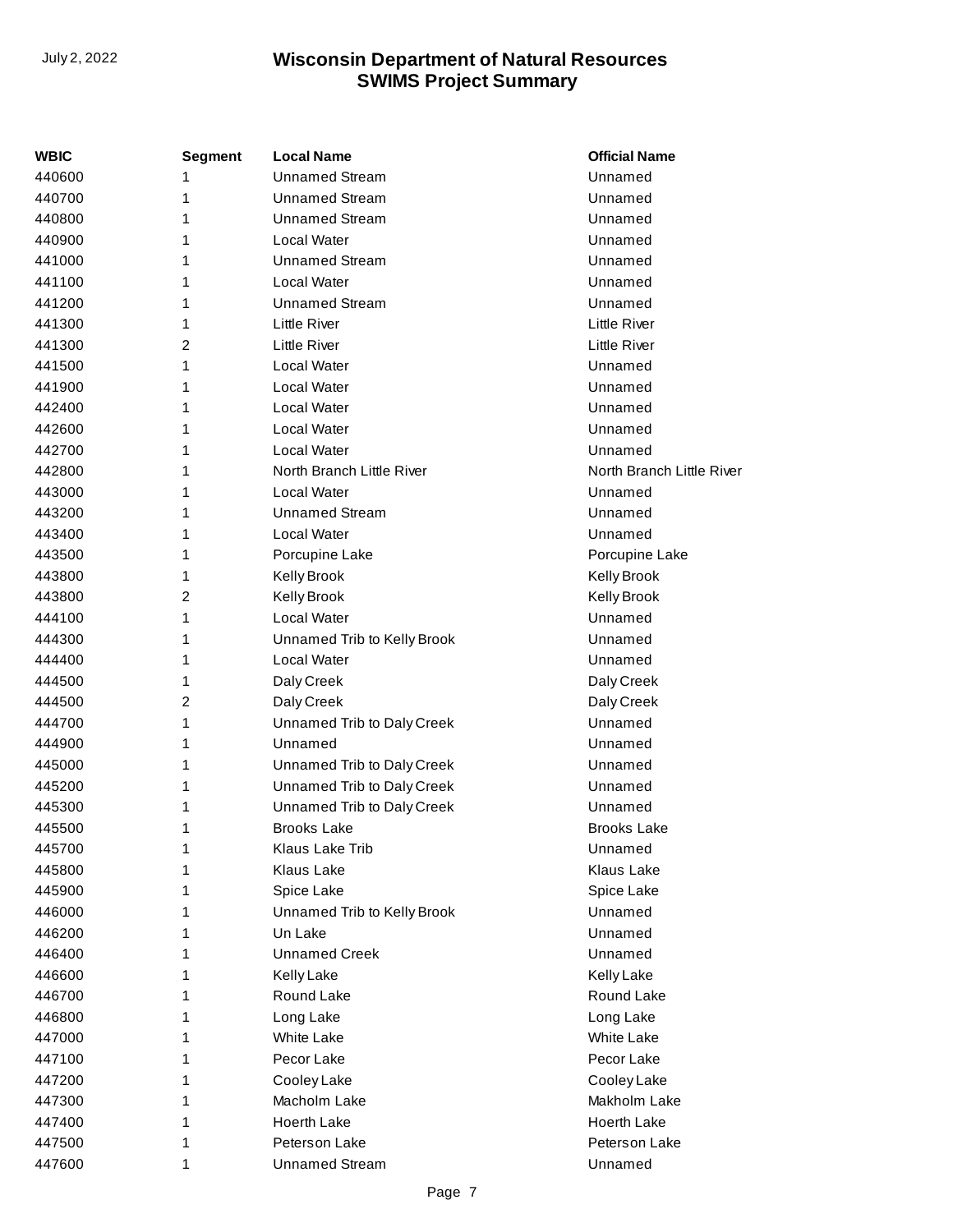| WBIC   | <b>Segment</b> | <b>Local Name</b>           | <b>Official Name</b>      |
|--------|----------------|-----------------------------|---------------------------|
| 440600 | 1              | <b>Unnamed Stream</b>       | Unnamed                   |
| 440700 | 1              | <b>Unnamed Stream</b>       | Unnamed                   |
| 440800 | 1              | <b>Unnamed Stream</b>       | Unnamed                   |
| 440900 | 1              | Local Water                 | Unnamed                   |
| 441000 | 1              | <b>Unnamed Stream</b>       | Unnamed                   |
| 441100 | 1              | Local Water                 | Unnamed                   |
| 441200 | 1              | <b>Unnamed Stream</b>       | Unnamed                   |
| 441300 | 1              | Little River                | Little River              |
| 441300 | 2              | Little River                | <b>Little River</b>       |
| 441500 | 1              | Local Water                 | Unnamed                   |
| 441900 | 1              | Local Water                 | Unnamed                   |
| 442400 | 1              | Local Water                 | Unnamed                   |
| 442600 | 1              | Local Water                 | Unnamed                   |
| 442700 | 1              | Local Water                 | Unnamed                   |
| 442800 | 1              | North Branch Little River   | North Branch Little River |
| 443000 | 1              | Local Water                 | Unnamed                   |
| 443200 | 1              | <b>Unnamed Stream</b>       | Unnamed                   |
| 443400 | 1              | Local Water                 | Unnamed                   |
| 443500 | 1              | Porcupine Lake              | Porcupine Lake            |
| 443800 | 1              | Kelly Brook                 | Kelly Brook               |
| 443800 | $\overline{2}$ | Kelly Brook                 | Kelly Brook               |
| 444100 | 1              | Local Water                 | Unnamed                   |
| 444300 | 1              | Unnamed Trib to Kelly Brook | Unnamed                   |
| 444400 | 1              | Local Water                 | Unnamed                   |
| 444500 | 1              | Daly Creek                  | Daly Creek                |
| 444500 | $\overline{2}$ | Daly Creek                  | Daly Creek                |
| 444700 | 1              | Unnamed Trib to Daly Creek  | Unnamed                   |
| 444900 | 1              | Unnamed                     | Unnamed                   |
| 445000 | 1              | Unnamed Trib to Daly Creek  | Unnamed                   |
| 445200 | 1              | Unnamed Trib to Daly Creek  | Unnamed                   |
| 445300 | 1              | Unnamed Trib to Daly Creek  | Unnamed                   |
| 445500 | 1              | <b>Brooks Lake</b>          | <b>Brooks Lake</b>        |
| 445700 | 1              | Klaus Lake Trib             | Unnamed                   |
| 445800 | 1              | Klaus Lake                  | Klaus Lake                |
| 445900 | 1              | Spice Lake                  | Spice Lake                |
| 446000 | 1              | Unnamed Trib to Kelly Brook | Unnamed                   |
| 446200 | 1              | Un Lake                     | Unnamed                   |
| 446400 | 1              | <b>Unnamed Creek</b>        | Unnamed                   |
| 446600 | 1              | <b>Kelly Lake</b>           | <b>Kelly Lake</b>         |
| 446700 | 1              | Round Lake                  | Round Lake                |
| 446800 | 1              | Long Lake                   | Long Lake                 |
| 447000 | 1              | <b>White Lake</b>           | <b>White Lake</b>         |
| 447100 | 1              | Pecor Lake                  | Pecor Lake                |
| 447200 | 1              | Cooley Lake                 | Cooley Lake               |
| 447300 | 1              | Macholm Lake                | Makholm Lake              |
| 447400 | 1              | Hoerth Lake                 | Hoerth Lake               |
| 447500 | 1              | Peterson Lake               | Peterson Lake             |
| 447600 | 1              | <b>Unnamed Stream</b>       | Unnamed                   |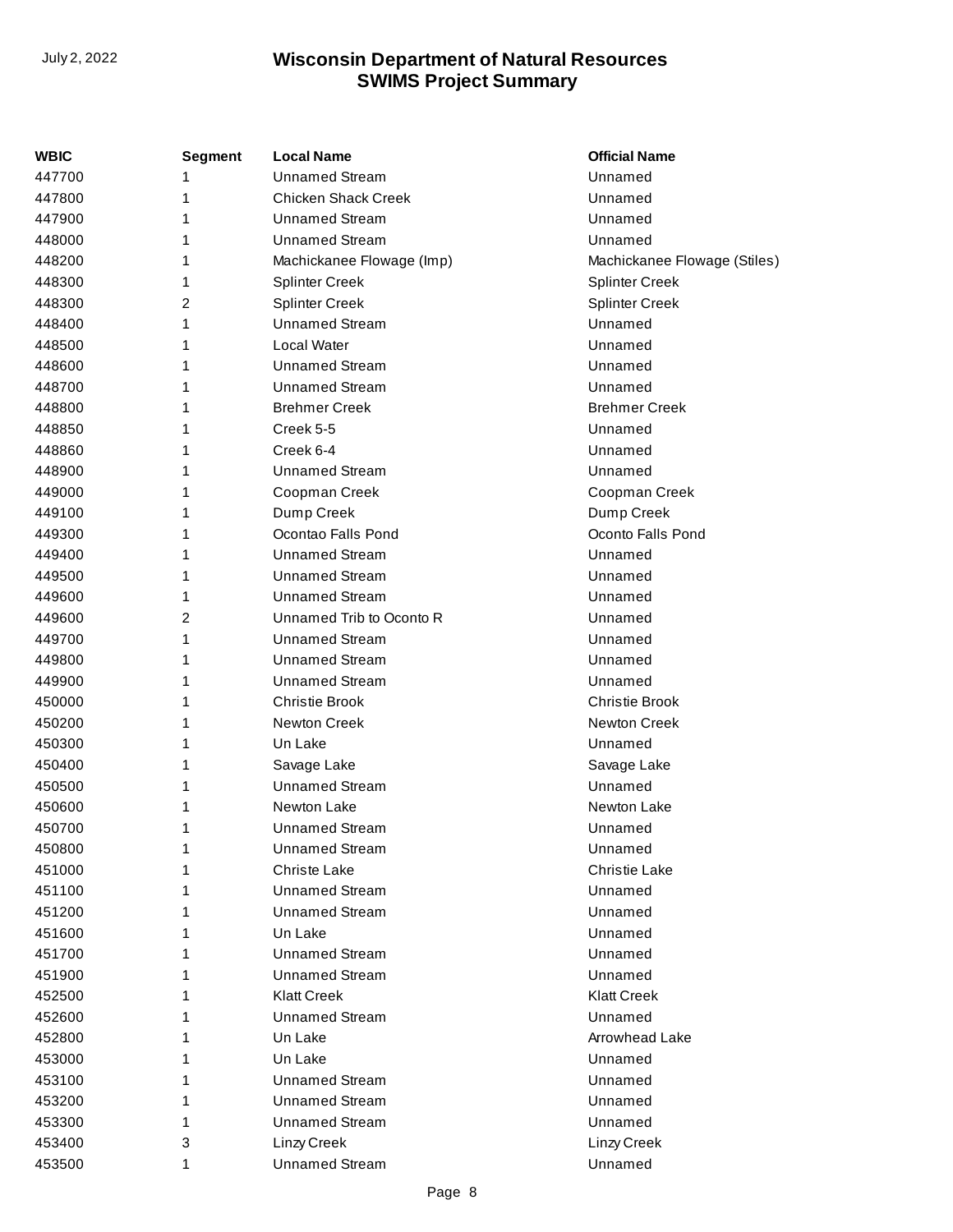| WBIC   | <b>Segment</b> | <b>Local Name</b>          | <b>Official Name</b>         |
|--------|----------------|----------------------------|------------------------------|
| 447700 |                | <b>Unnamed Stream</b>      | Unnamed                      |
| 447800 | 1              | <b>Chicken Shack Creek</b> | Unnamed                      |
| 447900 | 1              | <b>Unnamed Stream</b>      | Unnamed                      |
| 448000 | 1              | <b>Unnamed Stream</b>      | Unnamed                      |
| 448200 | 1              | Machickanee Flowage (Imp)  | Machickanee Flowage (Stiles) |
| 448300 | 1              | <b>Splinter Creek</b>      | <b>Splinter Creek</b>        |
| 448300 | 2              | <b>Splinter Creek</b>      | <b>Splinter Creek</b>        |
| 448400 | 1              | <b>Unnamed Stream</b>      | Unnamed                      |
| 448500 | 1              | Local Water                | Unnamed                      |
| 448600 | 1              | <b>Unnamed Stream</b>      | Unnamed                      |
| 448700 | 1              | <b>Unnamed Stream</b>      | Unnamed                      |
| 448800 | 1              | <b>Brehmer Creek</b>       | <b>Brehmer Creek</b>         |
| 448850 | 1              | Creek 5-5                  | Unnamed                      |
| 448860 | 1              | Creek 6-4                  | Unnamed                      |
| 448900 |                | <b>Unnamed Stream</b>      | Unnamed                      |
| 449000 | 1              | Coopman Creek              | Coopman Creek                |
| 449100 | 1              | Dump Creek                 | Dump Creek                   |
| 449300 | 1              | Ocontao Falls Pond         | Oconto Falls Pond            |
| 449400 | 1              | <b>Unnamed Stream</b>      | Unnamed                      |
| 449500 | 1              | <b>Unnamed Stream</b>      | Unnamed                      |
| 449600 | 1              | <b>Unnamed Stream</b>      | Unnamed                      |
| 449600 | 2              | Unnamed Trib to Oconto R   | Unnamed                      |
| 449700 | 1              | <b>Unnamed Stream</b>      | Unnamed                      |
| 449800 | 1              | <b>Unnamed Stream</b>      | Unnamed                      |
| 449900 | 1              | <b>Unnamed Stream</b>      | Unnamed                      |
| 450000 | 1              | <b>Christie Brook</b>      | <b>Christie Brook</b>        |
| 450200 | 1              | <b>Newton Creek</b>        | <b>Newton Creek</b>          |
| 450300 | 1              | Un Lake                    | Unnamed                      |
| 450400 | 1              | Savage Lake                | Savage Lake                  |
| 450500 | 1              | <b>Unnamed Stream</b>      | Unnamed                      |
| 450600 |                | <b>Newton Lake</b>         | <b>Newton Lake</b>           |
| 450700 | 1              | <b>Unnamed Stream</b>      | Unnamed                      |
| 450800 | 1              | <b>Unnamed Stream</b>      | Unnamed                      |
| 451000 | 1              | <b>Christe Lake</b>        | <b>Christie Lake</b>         |
| 451100 |                | <b>Unnamed Stream</b>      | Unnamed                      |
| 451200 | 1              | <b>Unnamed Stream</b>      | Unnamed                      |
| 451600 | 1              | Un Lake                    | Unnamed                      |
| 451700 | 1              | <b>Unnamed Stream</b>      | Unnamed                      |
| 451900 |                | <b>Unnamed Stream</b>      | Unnamed                      |
| 452500 | 1              | <b>Klatt Creek</b>         | <b>Klatt Creek</b>           |
| 452600 | 1              | <b>Unnamed Stream</b>      | Unnamed                      |
| 452800 | 1              | Un Lake                    | Arrowhead Lake               |
| 453000 |                | Un Lake                    | Unnamed                      |
| 453100 | 1              | <b>Unnamed Stream</b>      | Unnamed                      |
| 453200 | 1              | <b>Unnamed Stream</b>      | Unnamed                      |
| 453300 | 1              | <b>Unnamed Stream</b>      | Unnamed                      |
| 453400 | 3              | Linzy Creek                | Linzy Creek                  |
| 453500 | 1              | <b>Unnamed Stream</b>      | Unnamed                      |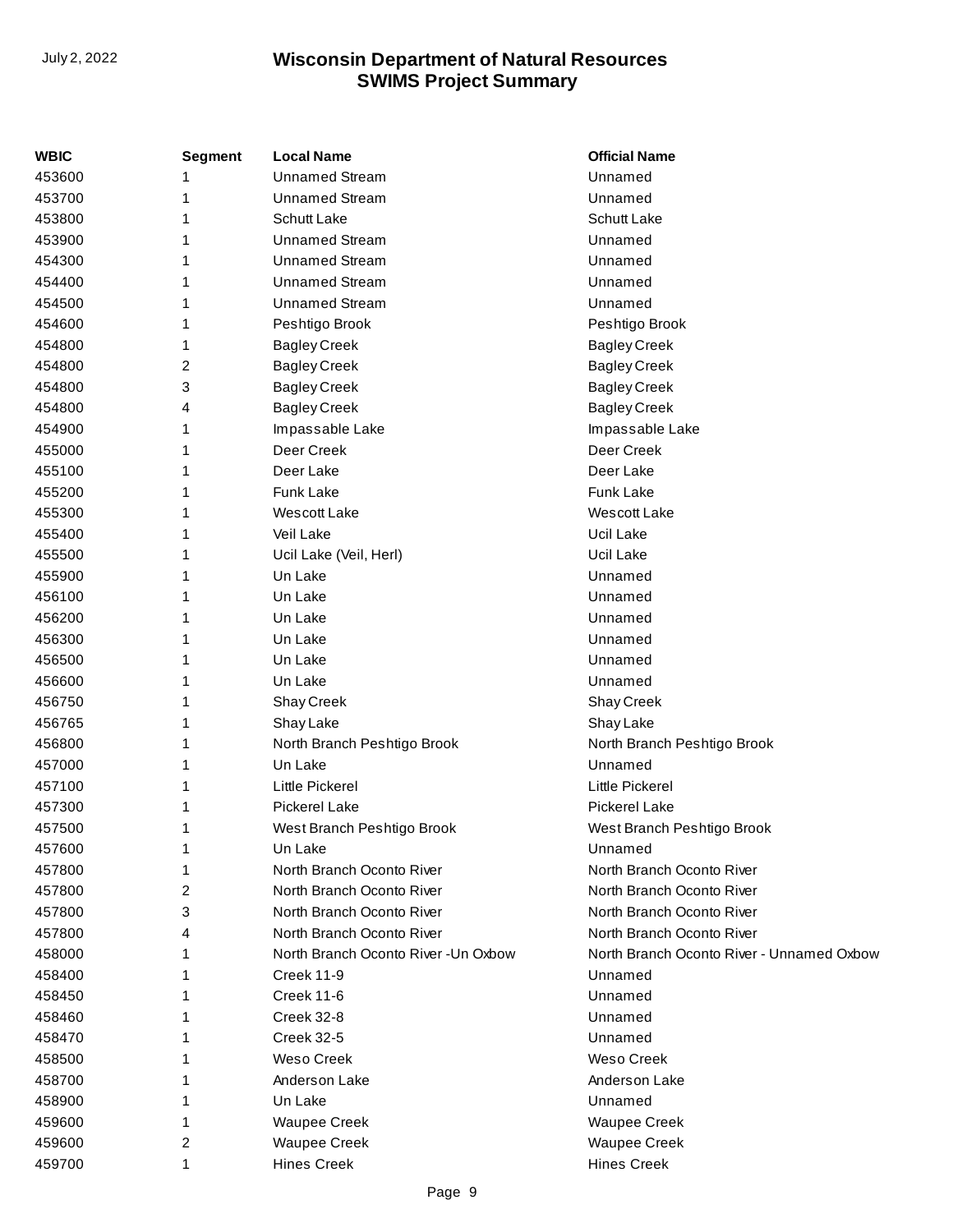| <b>WBIC</b> | Segment | <b>Local Name</b>                    | <b>Official Name</b>                      |
|-------------|---------|--------------------------------------|-------------------------------------------|
| 453600      | 1       | <b>Unnamed Stream</b>                | Unnamed                                   |
| 453700      | 1       | <b>Unnamed Stream</b>                | Unnamed                                   |
| 453800      | 1       | <b>Schutt Lake</b>                   | <b>Schutt Lake</b>                        |
| 453900      | 1       | <b>Unnamed Stream</b>                | Unnamed                                   |
| 454300      | 1       | <b>Unnamed Stream</b>                | Unnamed                                   |
| 454400      | 1       | <b>Unnamed Stream</b>                | Unnamed                                   |
| 454500      | 1       | <b>Unnamed Stream</b>                | Unnamed                                   |
| 454600      | 1       | Peshtigo Brook                       | Peshtigo Brook                            |
| 454800      | 1       | <b>Bagley Creek</b>                  | <b>Bagley Creek</b>                       |
| 454800      | 2       | <b>Bagley Creek</b>                  | <b>Bagley Creek</b>                       |
| 454800      | 3       | <b>Bagley Creek</b>                  | <b>Bagley Creek</b>                       |
| 454800      | 4       | <b>Bagley Creek</b>                  | <b>Bagley Creek</b>                       |
| 454900      | 1       | Impassable Lake                      | Impassable Lake                           |
| 455000      | 1       | Deer Creek                           | Deer Creek                                |
| 455100      | 1       | Deer Lake                            | Deer Lake                                 |
| 455200      | 1       | Funk Lake                            | <b>Funk Lake</b>                          |
| 455300      | 1       | Wescott Lake                         | Wescott Lake                              |
| 455400      | 1       | Veil Lake                            | Ucil Lake                                 |
| 455500      | 1       | Ucil Lake (Veil, Herl)               | Ucil Lake                                 |
| 455900      | 1       | Un Lake                              | Unnamed                                   |
| 456100      | 1       | Un Lake                              | Unnamed                                   |
| 456200      | 1       | Un Lake                              | Unnamed                                   |
| 456300      | 1       | Un Lake                              | Unnamed                                   |
| 456500      | 1       | Un Lake                              | Unnamed                                   |
| 456600      | 1       | Un Lake                              | Unnamed                                   |
| 456750      | 1       | Shay Creek                           | Shay Creek                                |
| 456765      | 1       | Shay Lake                            | Shay Lake                                 |
| 456800      | 1       | North Branch Peshtigo Brook          | North Branch Peshtigo Brook               |
| 457000      | 1       | Un Lake                              | Unnamed                                   |
| 457100      | 1       | Little Pickerel                      | Little Pickerel                           |
| 457300      | 1       | <b>Pickerel Lake</b>                 | <b>Pickerel Lake</b>                      |
| 457500      | 1       | West Branch Peshtigo Brook           | West Branch Peshtigo Brook                |
| 457600      | 1       | Un Lake                              | Unnamed                                   |
| 457800      | 1       | North Branch Oconto River            | North Branch Oconto River                 |
| 457800      | 2       | North Branch Oconto River            | North Branch Oconto River                 |
| 457800      | 3       | North Branch Oconto River            | North Branch Oconto River                 |
| 457800      | 4       | North Branch Oconto River            | North Branch Oconto River                 |
| 458000      | 1       | North Branch Oconto River - Un Oxbow | North Branch Oconto River - Unnamed Oxbow |
| 458400      | 1       | <b>Creek 11-9</b>                    | Unnamed                                   |
| 458450      | 1       | Creek 11-6                           | Unnamed                                   |
| 458460      | 1       | Creek 32-8                           | Unnamed                                   |
| 458470      | 1       | <b>Creek 32-5</b>                    | Unnamed                                   |
| 458500      | 1       | Weso Creek                           | <b>Weso Creek</b>                         |
| 458700      |         | Anderson Lake                        | Anderson Lake                             |
| 458900      | 1       | Un Lake                              | Unnamed                                   |
| 459600      | 1       | <b>Waupee Creek</b>                  | <b>Waupee Creek</b>                       |
| 459600      | 2       | <b>Waupee Creek</b>                  | <b>Waupee Creek</b>                       |
| 459700      | 1       | <b>Hines Creek</b>                   | <b>Hines Creek</b>                        |
|             |         |                                      |                                           |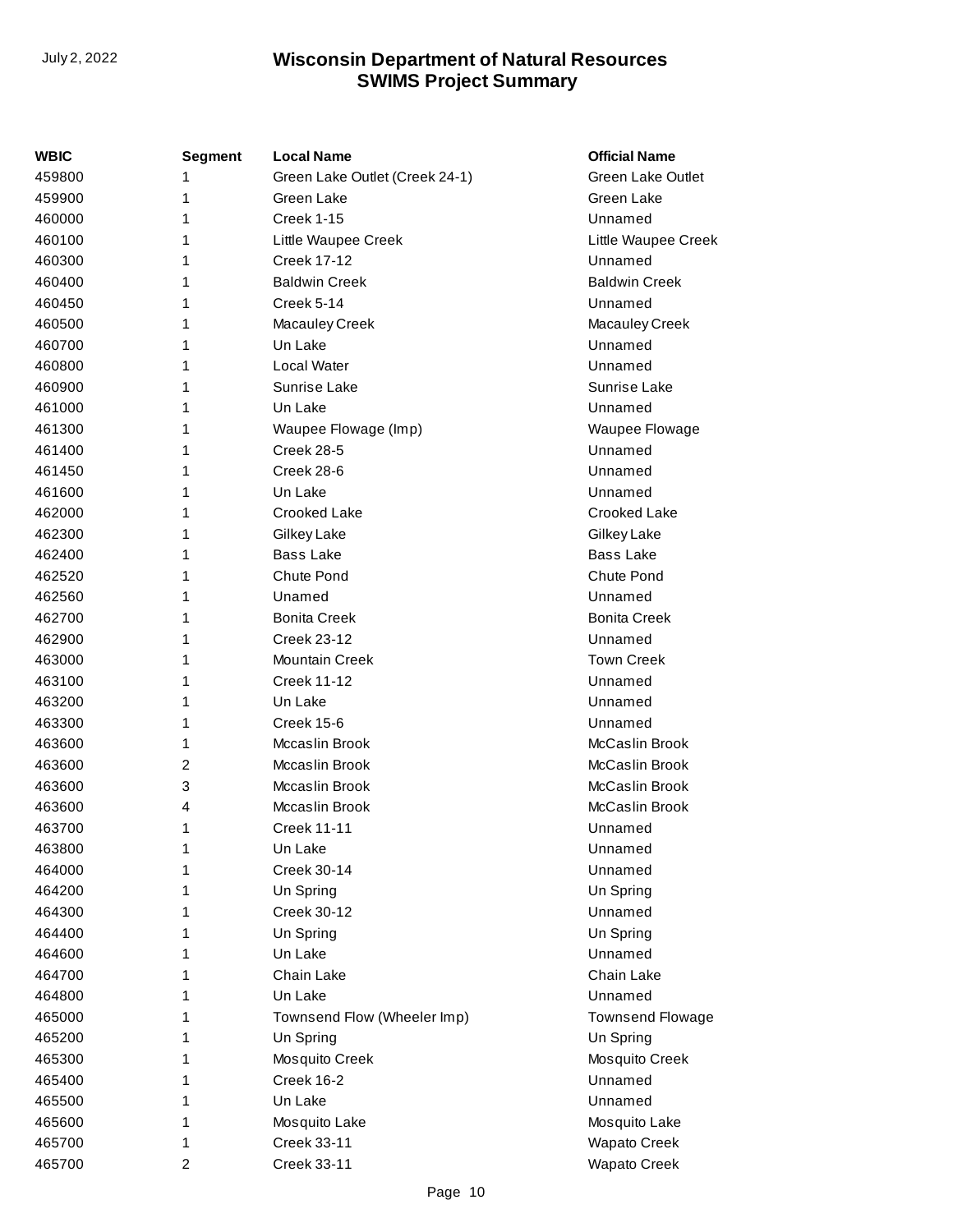| <b>WBIC</b> | <b>Segment</b> | <b>Local Name</b>              | <b>Official Name</b>     |
|-------------|----------------|--------------------------------|--------------------------|
| 459800      | 1              | Green Lake Outlet (Creek 24-1) | <b>Green Lake Outlet</b> |
| 459900      | 1              | Green Lake                     | Green Lake               |
| 460000      | 1              | <b>Creek 1-15</b>              | Unnamed                  |
| 460100      | 1              | Little Waupee Creek            | Little Waupee Creek      |
| 460300      | 1              | <b>Creek 17-12</b>             | Unnamed                  |
| 460400      | 1              | <b>Baldwin Creek</b>           | <b>Baldwin Creek</b>     |
| 460450      | 1              | Creek 5-14                     | Unnamed                  |
| 460500      | 1              | Macauley Creek                 | Macauley Creek           |
| 460700      | 1              | Un Lake                        | Unnamed                  |
| 460800      | 1              | Local Water                    | Unnamed                  |
| 460900      | 1              | Sunrise Lake                   | Sunrise Lake             |
| 461000      | 1              | Un Lake                        | Unnamed                  |
| 461300      | 1              | Waupee Flowage (Imp)           | Waupee Flowage           |
| 461400      | 1              | <b>Creek 28-5</b>              | Unnamed                  |
| 461450      | 1              | Creek 28-6                     | Unnamed                  |
| 461600      | 1              | Un Lake                        | Unnamed                  |
| 462000      | 1              | Crooked Lake                   | Crooked Lake             |
| 462300      | 1              | Gilkey Lake                    | Gilkey Lake              |
| 462400      | 1              | <b>Bass Lake</b>               | <b>Bass Lake</b>         |
| 462520      | 1              | Chute Pond                     | Chute Pond               |
| 462560      | 1              | Unamed                         | Unnamed                  |
| 462700      | 1              | <b>Bonita Creek</b>            | <b>Bonita Creek</b>      |
| 462900      | 1              | Creek 23-12                    | Unnamed                  |
| 463000      | 1              | <b>Mountain Creek</b>          | <b>Town Creek</b>        |
| 463100      | 1              | <b>Creek 11-12</b>             | Unnamed                  |
| 463200      | 1              | Un Lake                        | Unnamed                  |
| 463300      | 1              | <b>Creek 15-6</b>              | Unnamed                  |
| 463600      | 1              | Mccaslin Brook                 | McCaslin Brook           |
| 463600      | 2              | Mccaslin Brook                 | McCaslin Brook           |
| 463600      | 3              | Mccaslin Brook                 | McCaslin Brook           |
| 463600      | 4              | Mccaslin Brook                 | McCaslin Brook           |
| 463700      | 1              | <b>Creek 11-11</b>             | Unnamed                  |
| 463800      | 1              | Un Lake                        | Unnamed                  |
| 464000      | 1              | Creek 30-14                    | Unnamed                  |
| 464200      | 1              | Un Spring                      | Un Spring                |
| 464300      | 1              | Creek 30-12                    | Unnamed                  |
| 464400      | 1              | Un Spring                      | Un Spring                |
| 464600      | 1              | Un Lake                        | Unnamed                  |
| 464700      | 1              | Chain Lake                     | Chain Lake               |
| 464800      | 1              | Un Lake                        | Unnamed                  |
| 465000      | 1              | Townsend Flow (Wheeler Imp)    | <b>Townsend Flowage</b>  |
| 465200      | 1              | Un Spring                      | Un Spring                |
| 465300      | 1              | Mosquito Creek                 | Mosquito Creek           |
| 465400      | 1              | Creek 16-2                     | Unnamed                  |
| 465500      | 1              | Un Lake                        | Unnamed                  |
| 465600      | 1              | Mosquito Lake                  | Mosquito Lake            |
| 465700      | 1              | Creek 33-11                    | <b>Wapato Creek</b>      |
| 465700      | 2              | Creek 33-11                    | <b>Wapato Creek</b>      |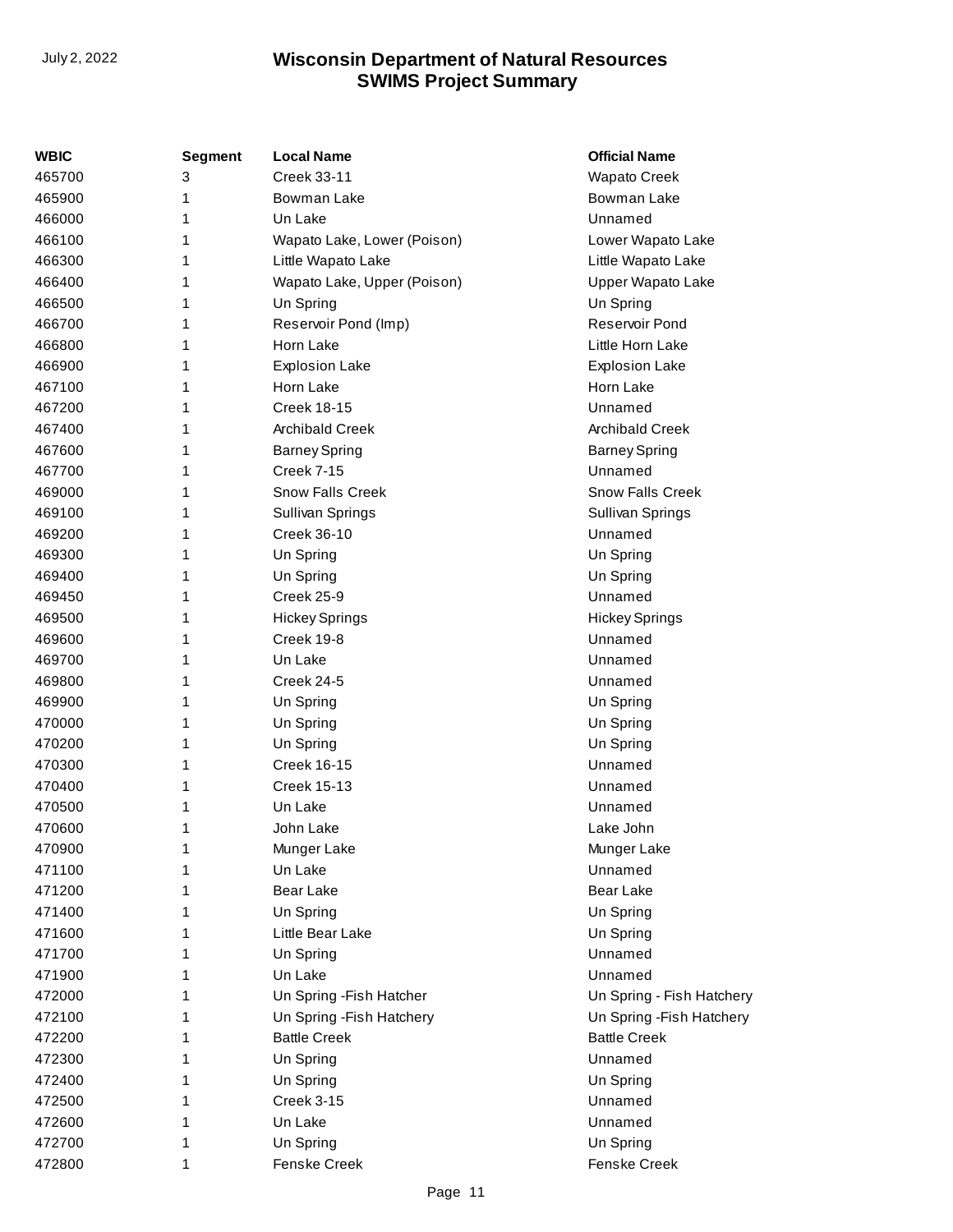| <b>WBIC</b> | <b>Segment</b> | <b>Local Name</b>           | <b>Official Name</b>      |
|-------------|----------------|-----------------------------|---------------------------|
| 465700      | 3              | <b>Creek 33-11</b>          | <b>Wapato Creek</b>       |
| 465900      | 1              | Bowman Lake                 | Bowman Lake               |
| 466000      | 1              | Un Lake                     | Unnamed                   |
| 466100      | 1              | Wapato Lake, Lower (Poison) | Lower Wapato Lake         |
| 466300      | 1              | Little Wapato Lake          | Little Wapato Lake        |
| 466400      | 1              | Wapato Lake, Upper (Poison) | Upper Wapato Lake         |
| 466500      | 1              | Un Spring                   | Un Spring                 |
| 466700      | 1              | Reservoir Pond (Imp)        | Reservoir Pond            |
| 466800      | 1              | Horn Lake                   | Little Horn Lake          |
| 466900      | 1              | <b>Explosion Lake</b>       | <b>Explosion Lake</b>     |
| 467100      | 1              | Horn Lake                   | Horn Lake                 |
| 467200      | 1              | <b>Creek 18-15</b>          | Unnamed                   |
| 467400      | 1              | <b>Archibald Creek</b>      | <b>Archibald Creek</b>    |
| 467600      | 1              | <b>Barney Spring</b>        | <b>Barney Spring</b>      |
| 467700      | 1              | <b>Creek 7-15</b>           | Unnamed                   |
| 469000      | 1              | <b>Snow Falls Creek</b>     | <b>Snow Falls Creek</b>   |
| 469100      | 1              | Sullivan Springs            | Sullivan Springs          |
| 469200      | 1              | Creek 36-10                 | Unnamed                   |
| 469300      | 1              | Un Spring                   | Un Spring                 |
| 469400      | 1              | Un Spring                   | Un Spring                 |
| 469450      | 1              | Creek 25-9                  | Unnamed                   |
| 469500      | 1              | <b>Hickey Springs</b>       | <b>Hickey Springs</b>     |
| 469600      | 1              | Creek 19-8                  | Unnamed                   |
| 469700      | 1              | Un Lake                     | Unnamed                   |
| 469800      | 1              | Creek 24-5                  | Unnamed                   |
| 469900      | 1              | Un Spring                   | Un Spring                 |
| 470000      | 1              | Un Spring                   | Un Spring                 |
| 470200      | 1              | Un Spring                   | Un Spring                 |
| 470300      | 1              | <b>Creek 16-15</b>          | Unnamed                   |
| 470400      | 1              | <b>Creek 15-13</b>          | Unnamed                   |
| 470500      | 1              | Un Lake                     | Unnamed                   |
| 470600      | 1              | John Lake                   | Lake John                 |
| 470900      | 1              | Munger Lake                 | Munger Lake               |
| 471100      | 1              | Un Lake                     | Unnamed                   |
| 471200      | 1              | Bear Lake                   | <b>Bear Lake</b>          |
| 471400      | 1              | Un Spring                   | Un Spring                 |
| 471600      | 1              | Little Bear Lake            | Un Spring                 |
| 471700      | 1              | Un Spring                   | Unnamed                   |
| 471900      | 1              | Un Lake                     | Unnamed                   |
| 472000      | 1              | Un Spring - Fish Hatcher    | Un Spring - Fish Hatchery |
| 472100      | 1              | Un Spring - Fish Hatchery   | Un Spring - Fish Hatchery |
| 472200      | 1              | <b>Battle Creek</b>         | <b>Battle Creek</b>       |
| 472300      | 1              | Un Spring                   | Unnamed                   |
| 472400      | 1              | Un Spring                   | Un Spring                 |
| 472500      | 1              | <b>Creek 3-15</b>           | Unnamed                   |
| 472600      | 1              | Un Lake                     | Unnamed                   |
| 472700      | 1              | Un Spring                   | Un Spring                 |
| 472800      | 1              | Fenske Creek                | <b>Fenske Creek</b>       |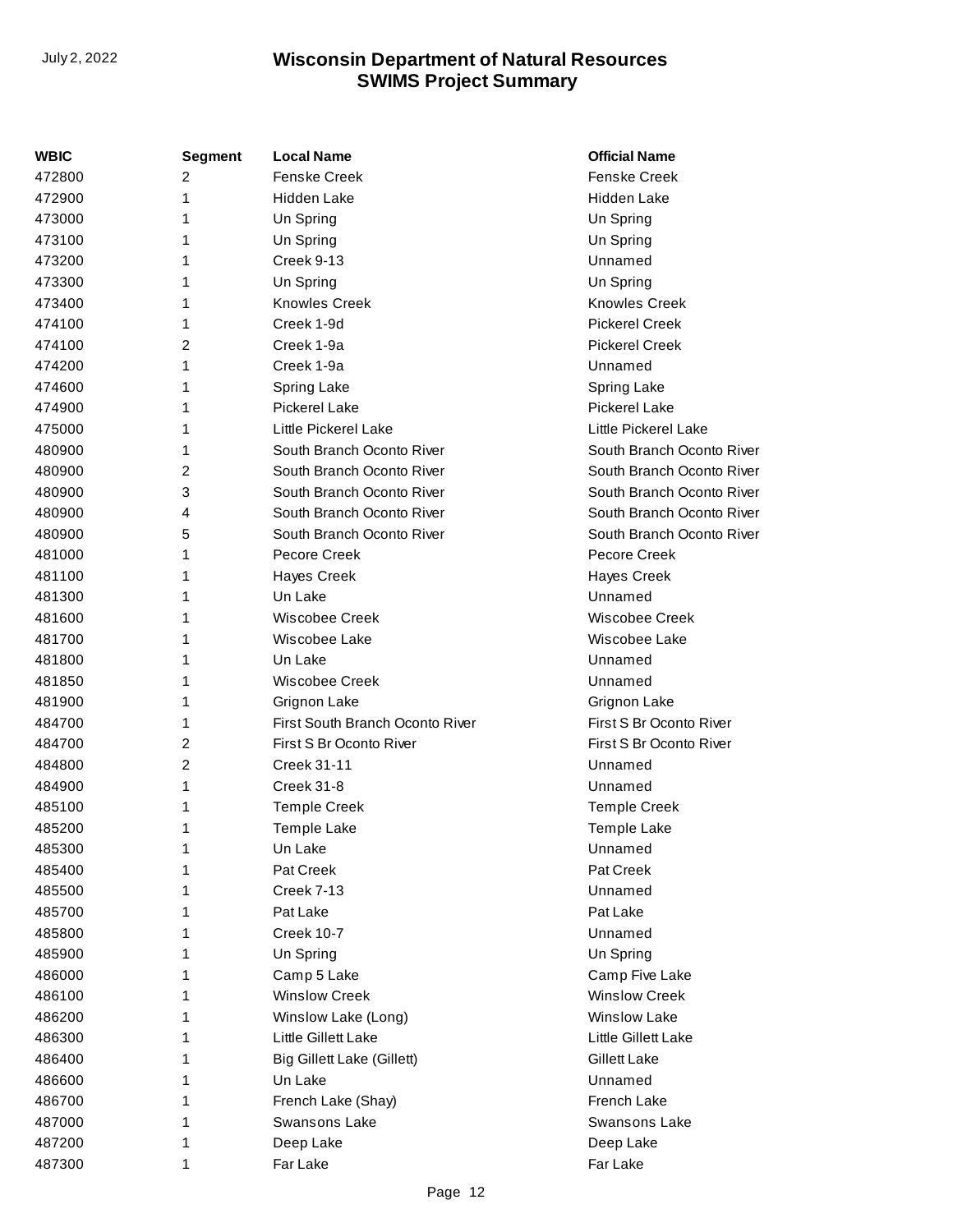| WBIC   | Segment | <b>Local Name</b>               | <b>Official Name</b>      |
|--------|---------|---------------------------------|---------------------------|
| 472800 | 2       | <b>Fenske Creek</b>             | <b>Fenske Creek</b>       |
| 472900 | 1       | Hidden Lake                     | <b>Hidden Lake</b>        |
| 473000 | 1       | Un Spring                       | Un Spring                 |
| 473100 | 1       | Un Spring                       | Un Spring                 |
| 473200 | 1       | Creek 9-13                      | Unnamed                   |
| 473300 | 1       | Un Spring                       | Un Spring                 |
| 473400 | 1       | <b>Knowles Creek</b>            | <b>Knowles Creek</b>      |
| 474100 | 1       | Creek 1-9d                      | <b>Pickerel Creek</b>     |
| 474100 | 2       | Creek 1-9a                      | <b>Pickerel Creek</b>     |
| 474200 | 1       | Creek 1-9a                      | Unnamed                   |
| 474600 | 1       | <b>Spring Lake</b>              | Spring Lake               |
| 474900 | 1       | <b>Pickerel Lake</b>            | <b>Pickerel Lake</b>      |
| 475000 | 1       | Little Pickerel Lake            | Little Pickerel Lake      |
| 480900 | 1       | South Branch Oconto River       | South Branch Oconto River |
| 480900 | 2       | South Branch Oconto River       | South Branch Oconto River |
| 480900 | 3       | South Branch Oconto River       | South Branch Oconto River |
| 480900 | 4       | South Branch Oconto River       | South Branch Oconto River |
| 480900 | 5       | South Branch Oconto River       | South Branch Oconto River |
| 481000 | 1       | Pecore Creek                    | Pecore Creek              |
| 481100 | 1       | <b>Hayes Creek</b>              | <b>Hayes Creek</b>        |
| 481300 | 1       | Un Lake                         | Unnamed                   |
| 481600 | 1       | Wiscobee Creek                  | Wiscobee Creek            |
| 481700 | 1       | Wiscobee Lake                   | Wiscobee Lake             |
| 481800 | 1       | Un Lake                         | Unnamed                   |
| 481850 | 1       | <b>Wiscobee Creek</b>           | Unnamed                   |
| 481900 | 1       | Grignon Lake                    | Grignon Lake              |
| 484700 | 1       | First South Branch Oconto River | First S Br Oconto River   |
| 484700 | 2       | First S Br Oconto River         | First S Br Oconto River   |
| 484800 | 2       | <b>Creek 31-11</b>              | Unnamed                   |
| 484900 | 1       | Creek 31-8                      | Unnamed                   |
| 485100 | 1       | <b>Temple Creek</b>             | <b>Temple Creek</b>       |
| 485200 | 1       | <b>Temple Lake</b>              | Temple Lake               |
| 485300 | 1       | Un Lake                         | Unnamed                   |
| 485400 | 1       | Pat Creek                       | Pat Creek                 |
| 485500 | 1       | Creek 7-13                      | Unnamed                   |
| 485700 | 1       | Pat Lake                        | Pat Lake                  |
| 485800 | 1       | <b>Creek 10-7</b>               | Unnamed                   |
| 485900 | 1       | Un Spring                       | Un Spring                 |
| 486000 | 1       | Camp 5 Lake                     | Camp Five Lake            |
| 486100 | 1       | <b>Winslow Creek</b>            | <b>Winslow Creek</b>      |
| 486200 | 1       | Winslow Lake (Long)             | <b>Winslow Lake</b>       |
| 486300 | 1       | Little Gillett Lake             | Little Gillett Lake       |
| 486400 | 1       | Big Gillett Lake (Gillett)      | <b>Gillett Lake</b>       |
| 486600 | 1       | Un Lake                         | Unnamed                   |
| 486700 | 1       | French Lake (Shay)              | French Lake               |
| 487000 | 1       | <b>Swansons Lake</b>            | <b>Swansons Lake</b>      |
| 487200 | 1       | Deep Lake                       | Deep Lake                 |
| 487300 | 1       | Far Lake                        | Far Lake                  |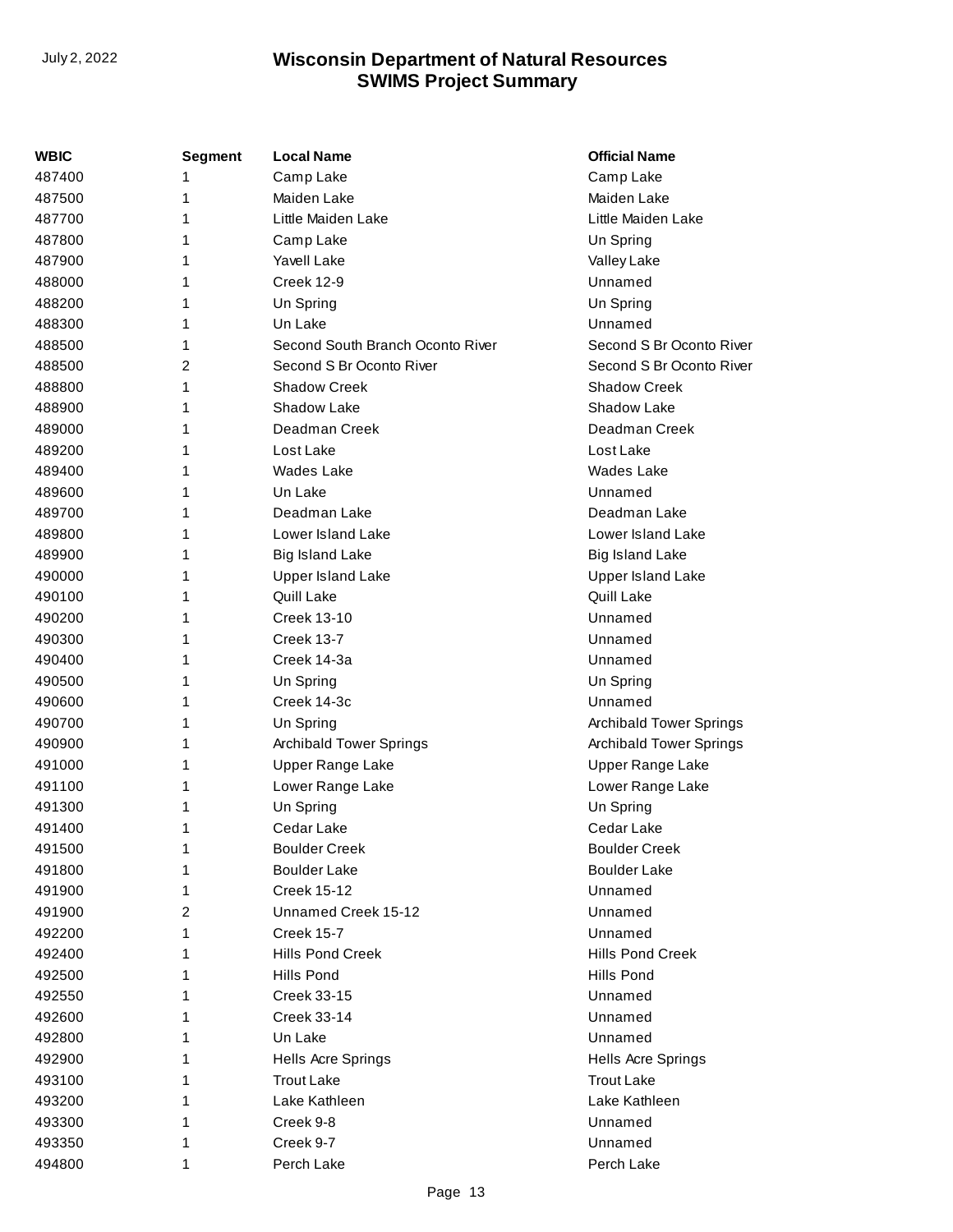| WBIC   | <b>Segment</b> | <b>Local Name</b>                | <b>Official Name</b>           |
|--------|----------------|----------------------------------|--------------------------------|
| 487400 | 1              | Camp Lake                        | Camp Lake                      |
| 487500 | 1              | Maiden Lake                      | Maiden Lake                    |
| 487700 | 1              | Little Maiden Lake               | Little Maiden Lake             |
| 487800 | 1              | Camp Lake                        | Un Spring                      |
| 487900 | 1              | Yavell Lake                      | Valley Lake                    |
| 488000 | 1              | <b>Creek 12-9</b>                | Unnamed                        |
| 488200 | 1              | Un Spring                        | Un Spring                      |
| 488300 | 1              | Un Lake                          | Unnamed                        |
| 488500 | 1              | Second South Branch Oconto River | Second S Br Oconto River       |
| 488500 | 2              | Second S Br Oconto River         | Second S Br Oconto River       |
| 488800 | 1              | <b>Shadow Creek</b>              | <b>Shadow Creek</b>            |
| 488900 | 1              | Shadow Lake                      | Shadow Lake                    |
| 489000 | 1              | Deadman Creek                    | Deadman Creek                  |
| 489200 | 1              | Lost Lake                        | Lost Lake                      |
| 489400 | 1              | Wades Lake                       | <b>Wades Lake</b>              |
| 489600 | 1              | Un Lake                          | Unnamed                        |
| 489700 | 1              | Deadman Lake                     | Deadman Lake                   |
| 489800 | 1              | Lower Island Lake                | Lower Island Lake              |
| 489900 | 1              | <b>Big Island Lake</b>           | <b>Big Island Lake</b>         |
| 490000 | 1              | <b>Upper Island Lake</b>         | <b>Upper Island Lake</b>       |
| 490100 | 1              | Quill Lake                       | Quill Lake                     |
| 490200 | 1              | <b>Creek 13-10</b>               | Unnamed                        |
| 490300 | 1              | <b>Creek 13-7</b>                | Unnamed                        |
| 490400 | 1              | Creek 14-3a                      | Unnamed                        |
| 490500 | 1              | Un Spring                        | Un Spring                      |
| 490600 | 1              | Creek 14-3c                      | Unnamed                        |
| 490700 | 1              | Un Spring                        | <b>Archibald Tower Springs</b> |
| 490900 | 1              | <b>Archibald Tower Springs</b>   | <b>Archibald Tower Springs</b> |
| 491000 | 1              | Upper Range Lake                 | Upper Range Lake               |
| 491100 | 1              | Lower Range Lake                 | Lower Range Lake               |
| 491300 | 1              | Un Spring                        | Un Spring                      |
| 491400 | 1              | Cedar Lake                       | Cedar Lake                     |
| 491500 | 1              | <b>Boulder Creek</b>             | <b>Boulder Creek</b>           |
| 491800 | 1              | <b>Boulder Lake</b>              | <b>Boulder Lake</b>            |
| 491900 | 1              | <b>Creek 15-12</b>               | Unnamed                        |
| 491900 | 2              | Unnamed Creek 15-12              | Unnamed                        |
| 492200 | 1              | <b>Creek 15-7</b>                | Unnamed                        |
| 492400 | 1              | Hills Pond Creek                 | Hills Pond Creek               |
| 492500 | 1              | Hills Pond                       | Hills Pond                     |
| 492550 | 1              | Creek 33-15                      | Unnamed                        |
| 492600 | 1              | Creek 33-14                      | Unnamed                        |
| 492800 | 1              | Un Lake                          | Unnamed                        |
| 492900 | 1              | Hells Acre Springs               | Hells Acre Springs             |
| 493100 | 1              | <b>Trout Lake</b>                | <b>Trout Lake</b>              |
| 493200 | 1              | Lake Kathleen                    | Lake Kathleen                  |
| 493300 | 1              | Creek 9-8                        | Unnamed                        |
| 493350 | 1              | Creek 9-7                        | Unnamed                        |
| 494800 | 1              | Perch Lake                       | Perch Lake                     |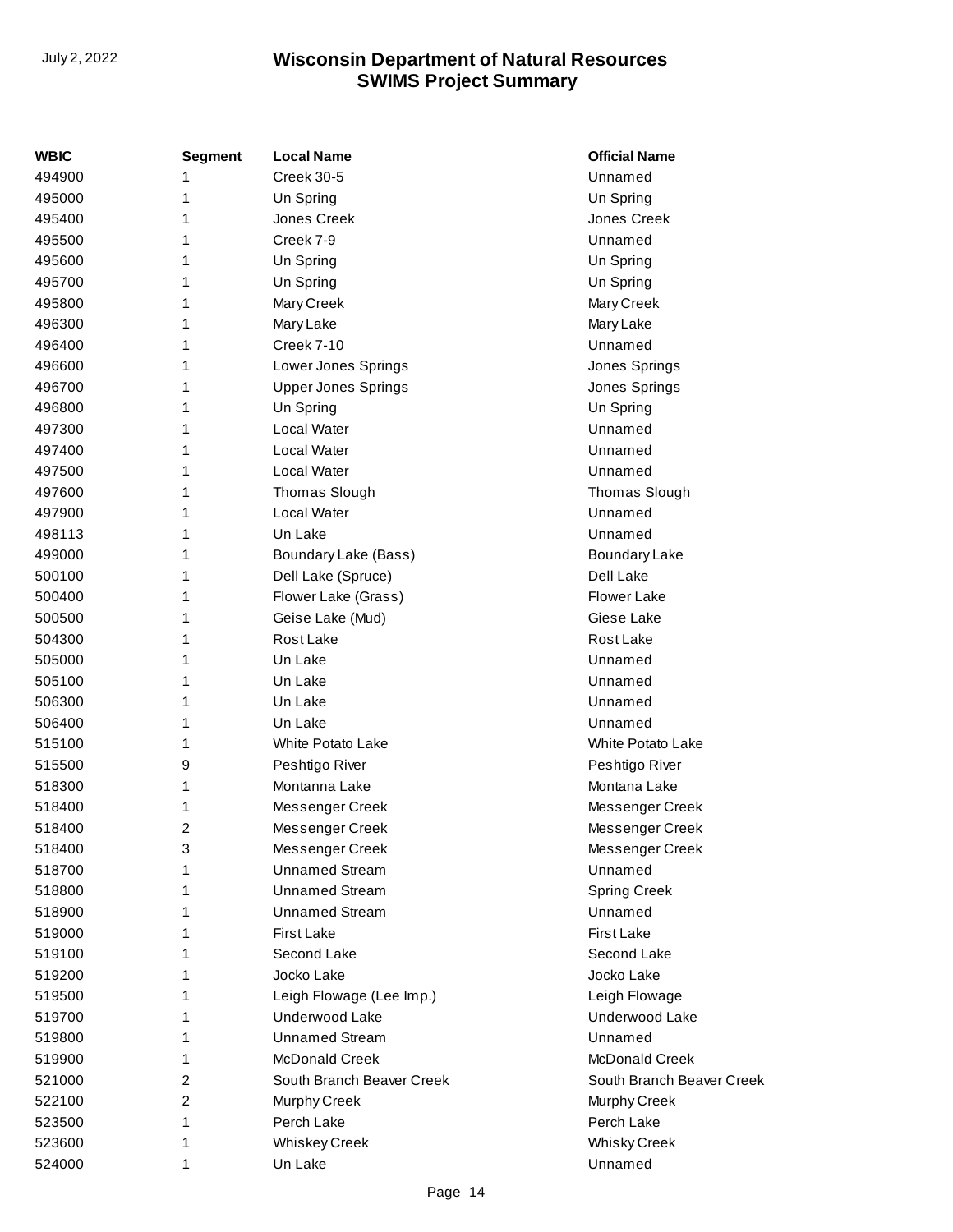| <b>WBIC</b> | <b>Segment</b> | <b>Local Name</b>          | <b>Official Name</b>      |
|-------------|----------------|----------------------------|---------------------------|
| 494900      | 1              | <b>Creek 30-5</b>          | Unnamed                   |
| 495000      | 1              | Un Spring                  | Un Spring                 |
| 495400      | 1              | Jones Creek                | Jones Creek               |
| 495500      | 1              | Creek 7-9                  | Unnamed                   |
| 495600      | 1              | Un Spring                  | Un Spring                 |
| 495700      | 1              | Un Spring                  | Un Spring                 |
| 495800      | 1              | Mary Creek                 | Mary Creek                |
| 496300      | 1              | Mary Lake                  | Mary Lake                 |
| 496400      | 1              | Creek 7-10                 | Unnamed                   |
| 496600      | 1              | Lower Jones Springs        | Jones Springs             |
| 496700      | 1              | <b>Upper Jones Springs</b> | Jones Springs             |
| 496800      | 1              | Un Spring                  | Un Spring                 |
| 497300      | 1              | Local Water                | Unnamed                   |
| 497400      | 1              | Local Water                | Unnamed                   |
| 497500      | 1              | Local Water                | Unnamed                   |
| 497600      | 1              | Thomas Slough              | Thomas Slough             |
| 497900      | 1              | Local Water                | Unnamed                   |
| 498113      | 1              | Un Lake                    | Unnamed                   |
| 499000      | 1              | Boundary Lake (Bass)       | <b>Boundary Lake</b>      |
| 500100      | 1              | Dell Lake (Spruce)         | Dell Lake                 |
| 500400      | 1              | Flower Lake (Grass)        | Flower Lake               |
| 500500      | 1              | Geise Lake (Mud)           | Giese Lake                |
| 504300      | 1              | Rost Lake                  | Rost Lake                 |
| 505000      | 1              | Un Lake                    | Unnamed                   |
| 505100      | 1              | Un Lake                    | Unnamed                   |
| 506300      | 1              | Un Lake                    | Unnamed                   |
| 506400      | 1              | Un Lake                    | Unnamed                   |
| 515100      | 1              | White Potato Lake          | <b>White Potato Lake</b>  |
| 515500      | 9              | Peshtigo River             | Peshtigo River            |
| 518300      | 1              | Montanna Lake              | Montana Lake              |
| 518400      | 1              | Messenger Creek            | Messenger Creek           |
| 518400      | 2              | Messenger Creek            | Messenger Creek           |
| 518400      | 3              | Messenger Creek            | Messenger Creek           |
| 518700      | 1              | <b>Unnamed Stream</b>      | Unnamed                   |
| 518800      | 1              | <b>Unnamed Stream</b>      | <b>Spring Creek</b>       |
| 518900      | 1              | <b>Unnamed Stream</b>      | Unnamed                   |
| 519000      | 1              | First Lake                 | <b>First Lake</b>         |
| 519100      | 1              | Second Lake                | Second Lake               |
| 519200      | 1              | Jocko Lake                 | Jocko Lake                |
| 519500      | 1              | Leigh Flowage (Lee Imp.)   | Leigh Flowage             |
| 519700      | 1              | Underwood Lake             | Underwood Lake            |
| 519800      | 1              | <b>Unnamed Stream</b>      | Unnamed                   |
| 519900      | 1              | <b>McDonald Creek</b>      | McDonald Creek            |
| 521000      | 2              | South Branch Beaver Creek  | South Branch Beaver Creek |
| 522100      | $\overline{2}$ | Murphy Creek               | Murphy Creek              |
| 523500      | 1              | Perch Lake                 | Perch Lake                |
| 523600      | 1              | <b>Whiskey Creek</b>       | <b>Whisky Creek</b>       |
| 524000      | 1              | Un Lake                    | Unnamed                   |
|             |                |                            |                           |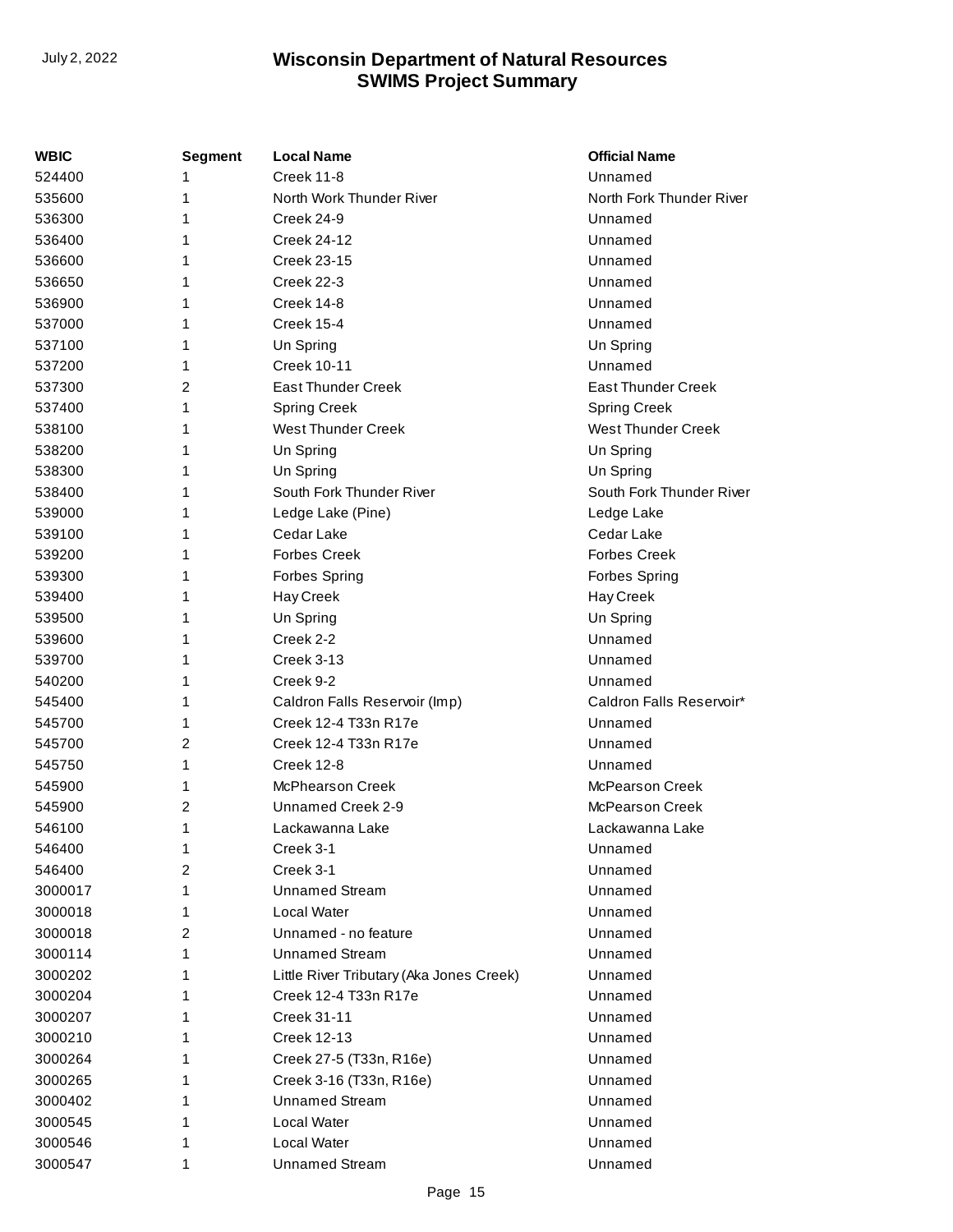| WBIC    | Segment | <b>Local Name</b>                        | <b>Official Name</b>      |
|---------|---------|------------------------------------------|---------------------------|
| 524400  | 1       | Creek 11-8                               | Unnamed                   |
| 535600  | 1       | North Work Thunder River                 | North Fork Thunder River  |
| 536300  | 1       | Creek 24-9                               | Unnamed                   |
| 536400  | 1       | <b>Creek 24-12</b>                       | Unnamed                   |
| 536600  | 1       | Creek 23-15                              | Unnamed                   |
| 536650  | 1       | <b>Creek 22-3</b>                        | Unnamed                   |
| 536900  | 1       | Creek 14-8                               | Unnamed                   |
| 537000  | 1       | <b>Creek 15-4</b>                        | Unnamed                   |
| 537100  | 1       | Un Spring                                | Un Spring                 |
| 537200  | 1       | <b>Creek 10-11</b>                       | Unnamed                   |
| 537300  | 2       | <b>East Thunder Creek</b>                | <b>East Thunder Creek</b> |
| 537400  | 1       | <b>Spring Creek</b>                      | <b>Spring Creek</b>       |
| 538100  | 1       | <b>West Thunder Creek</b>                | <b>West Thunder Creek</b> |
| 538200  | 1       | Un Spring                                | Un Spring                 |
| 538300  | 1       | Un Spring                                | Un Spring                 |
| 538400  | 1       | South Fork Thunder River                 | South Fork Thunder River  |
| 539000  | 1       | Ledge Lake (Pine)                        | Ledge Lake                |
| 539100  | 1       | Cedar Lake                               | Cedar Lake                |
| 539200  | 1       | <b>Forbes Creek</b>                      | <b>Forbes Creek</b>       |
| 539300  | 1       | <b>Forbes Spring</b>                     | <b>Forbes Spring</b>      |
| 539400  | 1       | Hay Creek                                | Hay Creek                 |
| 539500  | 1       | Un Spring                                | Un Spring                 |
| 539600  | 1       | Creek 2-2                                | Unnamed                   |
| 539700  | 1       | Creek 3-13                               | Unnamed                   |
| 540200  | 1       | Creek 9-2                                | Unnamed                   |
| 545400  | 1       | Caldron Falls Reservoir (Imp)            | Caldron Falls Reservoir*  |
| 545700  | 1       | Creek 12-4 T33n R17e                     | Unnamed                   |
| 545700  | 2       | Creek 12-4 T33n R17e                     | Unnamed                   |
| 545750  | 1       | <b>Creek 12-8</b>                        | Unnamed                   |
| 545900  | 1       | <b>McPhearson Creek</b>                  | McPearson Creek           |
| 545900  | 2       | Unnamed Creek 2-9                        | McPearson Creek           |
| 546100  | 1       | Lackawanna Lake                          | Lackawanna Lake           |
| 546400  | 1       | Creek 3-1                                | Unnamed                   |
| 546400  | 2       | Creek 3-1                                | Unnamed                   |
| 3000017 | 1       | <b>Unnamed Stream</b>                    | Unnamed                   |
| 3000018 | 1       | Local Water                              | Unnamed                   |
| 3000018 | 2       | Unnamed - no feature                     | Unnamed                   |
| 3000114 | 1       | <b>Unnamed Stream</b>                    | Unnamed                   |
| 3000202 | 1       | Little River Tributary (Aka Jones Creek) | Unnamed                   |
| 3000204 | 1       | Creek 12-4 T33n R17e                     | Unnamed                   |
| 3000207 | 1       | Creek 31-11                              | Unnamed                   |
| 3000210 | 1       | <b>Creek 12-13</b>                       | Unnamed                   |
| 3000264 |         | Creek 27-5 (T33n, R16e)                  | Unnamed                   |
| 3000265 |         | Creek 3-16 (T33n, R16e)                  | Unnamed                   |
| 3000402 |         | <b>Unnamed Stream</b>                    | Unnamed                   |
| 3000545 |         | Local Water                              | Unnamed                   |
| 3000546 |         | Local Water                              | Unnamed                   |
| 3000547 | 1       | <b>Unnamed Stream</b>                    | Unnamed                   |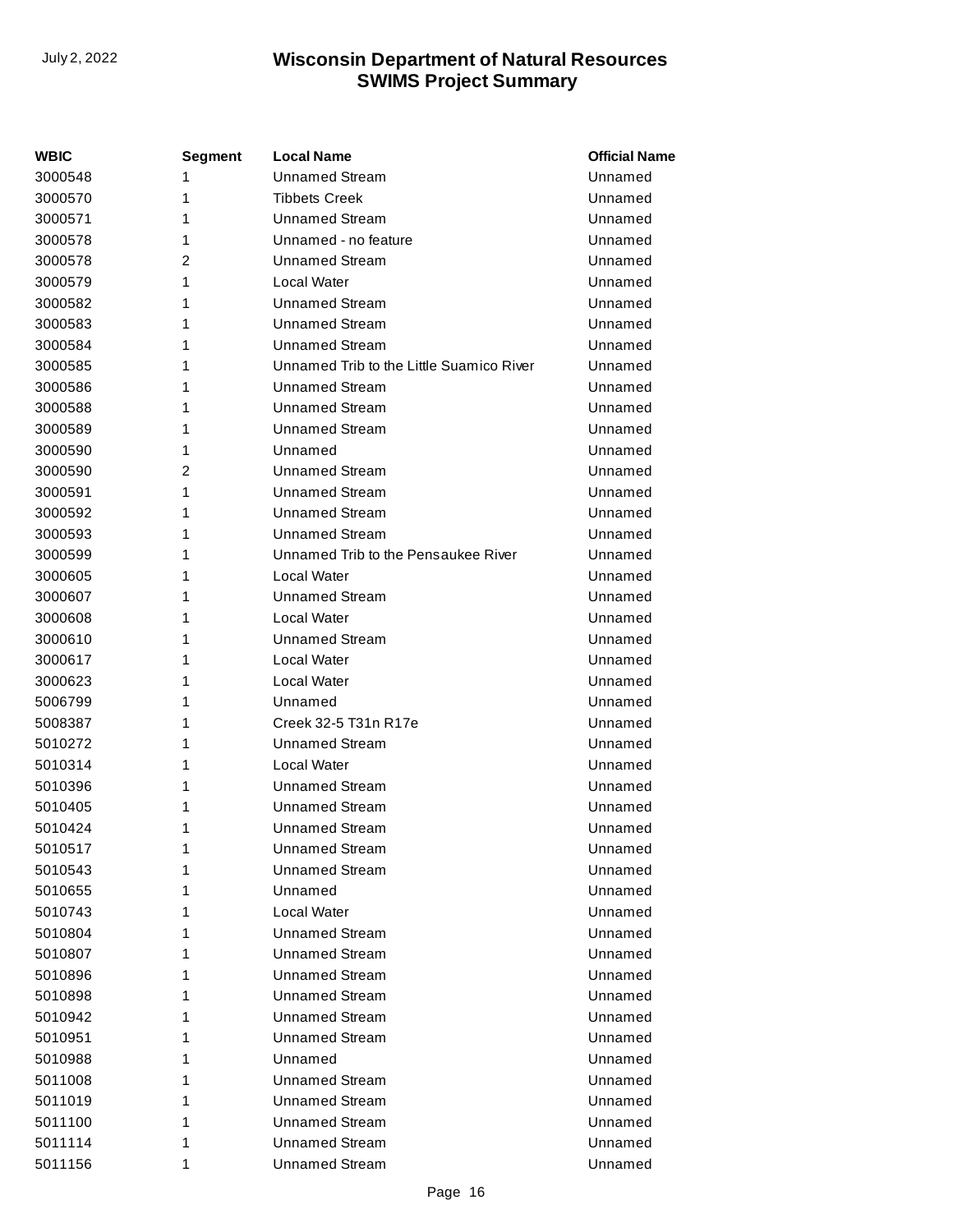| WBIC    | Segment | <b>Local Name</b>                        | <b>Official Name</b> |
|---------|---------|------------------------------------------|----------------------|
| 3000548 | 1       | <b>Unnamed Stream</b>                    | Unnamed              |
| 3000570 | 1       | <b>Tibbets Creek</b>                     | Unnamed              |
| 3000571 | 1       | <b>Unnamed Stream</b>                    | Unnamed              |
| 3000578 | 1       | Unnamed - no feature                     | Unnamed              |
| 3000578 | 2       | <b>Unnamed Stream</b>                    | Unnamed              |
| 3000579 | 1       | Local Water                              | Unnamed              |
| 3000582 | 1       | <b>Unnamed Stream</b>                    | Unnamed              |
| 3000583 | 1       | <b>Unnamed Stream</b>                    | Unnamed              |
| 3000584 | 1       | <b>Unnamed Stream</b>                    | Unnamed              |
| 3000585 | 1       | Unnamed Trib to the Little Suamico River | Unnamed              |
| 3000586 | 1       | Unnamed Stream                           | Unnamed              |
| 3000588 | 1       | <b>Unnamed Stream</b>                    | Unnamed              |
| 3000589 | 1       | <b>Unnamed Stream</b>                    | Unnamed              |
| 3000590 | 1       | Unnamed                                  | Unnamed              |
| 3000590 | 2       | <b>Unnamed Stream</b>                    | Unnamed              |
| 3000591 | 1       | <b>Unnamed Stream</b>                    | Unnamed              |
| 3000592 | 1       | <b>Unnamed Stream</b>                    | Unnamed              |
| 3000593 | 1       | <b>Unnamed Stream</b>                    | Unnamed              |
| 3000599 | 1       | Unnamed Trib to the Pensaukee River      | Unnamed              |
| 3000605 | 1       | Local Water                              | Unnamed              |
| 3000607 | 1       | Unnamed Stream                           | Unnamed              |
| 3000608 | 1       | Local Water                              | Unnamed              |
| 3000610 | 1       | <b>Unnamed Stream</b>                    | Unnamed              |
| 3000617 | 1       | Local Water                              | Unnamed              |
| 3000623 | 1       | Local Water                              | Unnamed              |
| 5006799 | 1       | Unnamed                                  | Unnamed              |
| 5008387 | 1       | Creek 32-5 T31n R17e                     | Unnamed              |
| 5010272 | 1       | <b>Unnamed Stream</b>                    | Unnamed              |
| 5010314 | 1       | Local Water                              | Unnamed              |
| 5010396 | 1       | <b>Unnamed Stream</b>                    | Unnamed              |
| 5010405 | 1       | Unnamed Stream                           | Unnamed              |
| 5010424 | 1       | <b>Unnamed Stream</b>                    | Unnamed              |
| 5010517 | 1       | <b>Unnamed Stream</b>                    | Unnamed              |
| 5010543 | 1       | <b>Unnamed Stream</b>                    | Unnamed              |
| 5010655 | 1       | Unnamed                                  | Unnamed              |
| 5010743 | 1       | Local Water                              | Unnamed              |
| 5010804 | 1       | <b>Unnamed Stream</b>                    | Unnamed              |
| 5010807 | 1       | <b>Unnamed Stream</b>                    | Unnamed              |
| 5010896 | 1       | <b>Unnamed Stream</b>                    | Unnamed              |
| 5010898 | 1       | <b>Unnamed Stream</b>                    | Unnamed              |
| 5010942 | 1       | <b>Unnamed Stream</b>                    | Unnamed              |
| 5010951 | 1       | <b>Unnamed Stream</b>                    | Unnamed              |
| 5010988 | 1       | Unnamed                                  | Unnamed              |
| 5011008 | 1       | <b>Unnamed Stream</b>                    | Unnamed              |
| 5011019 | 1       | <b>Unnamed Stream</b>                    | Unnamed              |
| 5011100 | 1       | <b>Unnamed Stream</b>                    | Unnamed              |
| 5011114 | 1       | <b>Unnamed Stream</b>                    | Unnamed              |
| 5011156 | 1       | <b>Unnamed Stream</b>                    | Unnamed              |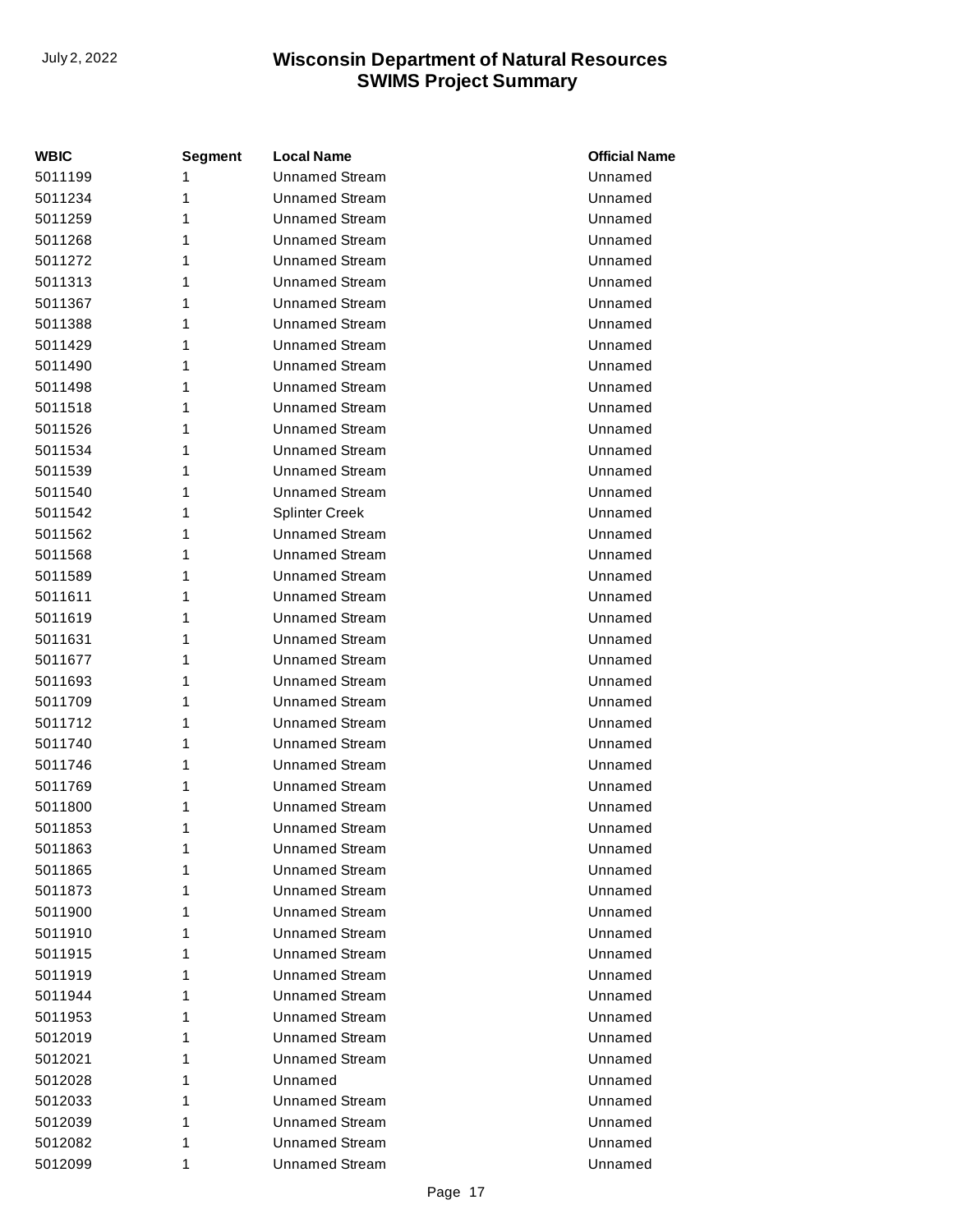| <b>WBIC</b> | <b>Segment</b> | <b>Local Name</b>     | <b>Official Name</b> |
|-------------|----------------|-----------------------|----------------------|
| 5011199     | 1              | <b>Unnamed Stream</b> | Unnamed              |
| 5011234     | 1              | <b>Unnamed Stream</b> | Unnamed              |
| 5011259     | 1              | <b>Unnamed Stream</b> | Unnamed              |
| 5011268     | 1              | <b>Unnamed Stream</b> | Unnamed              |
| 5011272     | 1              | <b>Unnamed Stream</b> | Unnamed              |
| 5011313     | 1              | <b>Unnamed Stream</b> | Unnamed              |
| 5011367     | 1              | <b>Unnamed Stream</b> | Unnamed              |
| 5011388     | 1              | <b>Unnamed Stream</b> | Unnamed              |
| 5011429     | 1              | <b>Unnamed Stream</b> | Unnamed              |
| 5011490     | 1              | <b>Unnamed Stream</b> | Unnamed              |
| 5011498     | 1              | <b>Unnamed Stream</b> | Unnamed              |
| 5011518     | 1              | <b>Unnamed Stream</b> | Unnamed              |
| 5011526     | 1              | <b>Unnamed Stream</b> | Unnamed              |
| 5011534     | 1              | <b>Unnamed Stream</b> | Unnamed              |
| 5011539     | 1              | <b>Unnamed Stream</b> | Unnamed              |
| 5011540     | 1              | <b>Unnamed Stream</b> | Unnamed              |
| 5011542     | 1              | <b>Splinter Creek</b> | Unnamed              |
| 5011562     | 1              | <b>Unnamed Stream</b> | Unnamed              |
| 5011568     | 1              | <b>Unnamed Stream</b> | Unnamed              |
| 5011589     | 1              | <b>Unnamed Stream</b> | Unnamed              |
| 5011611     | 1              | <b>Unnamed Stream</b> | Unnamed              |
| 5011619     | 1              | <b>Unnamed Stream</b> | Unnamed              |
| 5011631     | 1              | <b>Unnamed Stream</b> | Unnamed              |
| 5011677     | 1              | <b>Unnamed Stream</b> | Unnamed              |
| 5011693     | 1              | <b>Unnamed Stream</b> | Unnamed              |
| 5011709     | 1              | <b>Unnamed Stream</b> | Unnamed              |
| 5011712     | 1              | <b>Unnamed Stream</b> | Unnamed              |
| 5011740     | 1              | <b>Unnamed Stream</b> | Unnamed              |
| 5011746     | 1              | <b>Unnamed Stream</b> | Unnamed              |
| 5011769     | 1              | <b>Unnamed Stream</b> | Unnamed              |
| 5011800     | 1              | <b>Unnamed Stream</b> | Unnamed              |
| 5011853     | 1              | <b>Unnamed Stream</b> | Unnamed              |
| 5011863     | 1              | <b>Unnamed Stream</b> | Unnamed              |
| 5011865     | 1              | <b>Unnamed Stream</b> | Unnamed              |
| 5011873     | 1              | <b>Unnamed Stream</b> | Unnamed              |
| 5011900     | 1              | Unnamed Stream        | Unnamed              |
| 5011910     | 1              | <b>Unnamed Stream</b> | Unnamed              |
| 5011915     | 1              | <b>Unnamed Stream</b> | Unnamed              |
| 5011919     | 1              | <b>Unnamed Stream</b> | Unnamed              |
| 5011944     | 1              | <b>Unnamed Stream</b> | Unnamed              |
| 5011953     | 1              | <b>Unnamed Stream</b> | Unnamed              |
| 5012019     | 1              | <b>Unnamed Stream</b> | Unnamed              |
| 5012021     | 1              | <b>Unnamed Stream</b> | Unnamed              |
| 5012028     | 1              | Unnamed               | Unnamed              |
| 5012033     | 1              | Unnamed Stream        | Unnamed              |
| 5012039     | 1              | <b>Unnamed Stream</b> | Unnamed              |
| 5012082     | 1              | <b>Unnamed Stream</b> | Unnamed              |
| 5012099     | 1              | <b>Unnamed Stream</b> | Unnamed              |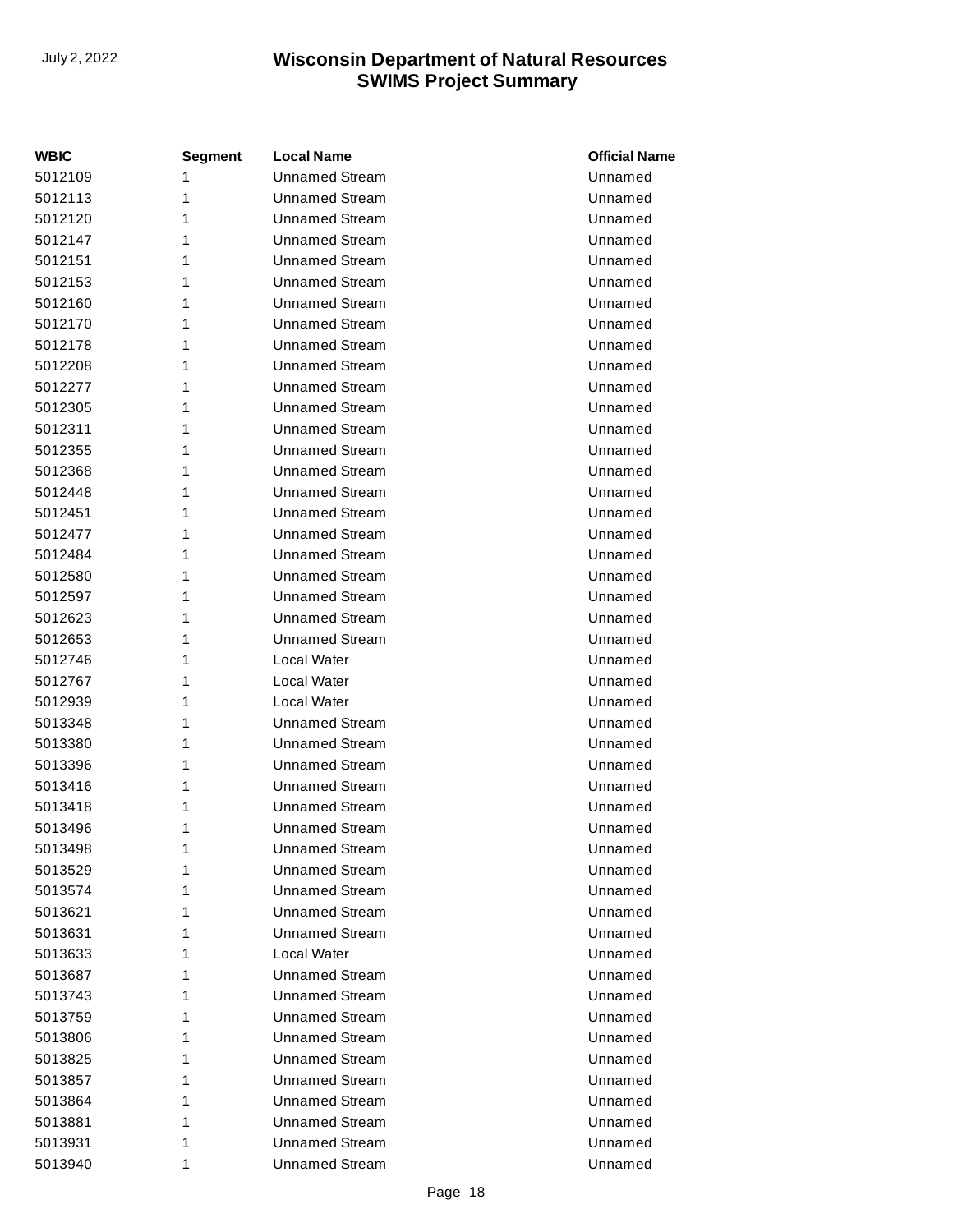| <b>WBIC</b> | <b>Segment</b> | <b>Local Name</b>     | <b>Official Name</b> |
|-------------|----------------|-----------------------|----------------------|
| 5012109     | 1              | <b>Unnamed Stream</b> | Unnamed              |
| 5012113     | 1              | <b>Unnamed Stream</b> | Unnamed              |
| 5012120     | 1              | <b>Unnamed Stream</b> | Unnamed              |
| 5012147     | 1              | <b>Unnamed Stream</b> | Unnamed              |
| 5012151     | 1              | <b>Unnamed Stream</b> | Unnamed              |
| 5012153     | 1              | <b>Unnamed Stream</b> | Unnamed              |
| 5012160     | 1              | <b>Unnamed Stream</b> | Unnamed              |
| 5012170     | 1              | <b>Unnamed Stream</b> | Unnamed              |
| 5012178     | 1              | <b>Unnamed Stream</b> | Unnamed              |
| 5012208     | 1              | <b>Unnamed Stream</b> | Unnamed              |
| 5012277     | 1              | <b>Unnamed Stream</b> | Unnamed              |
| 5012305     | 1              | <b>Unnamed Stream</b> | Unnamed              |
| 5012311     | 1              | <b>Unnamed Stream</b> | Unnamed              |
| 5012355     | 1              | <b>Unnamed Stream</b> | Unnamed              |
| 5012368     | 1              | <b>Unnamed Stream</b> | Unnamed              |
| 5012448     | 1              | <b>Unnamed Stream</b> | Unnamed              |
| 5012451     | 1              | <b>Unnamed Stream</b> | Unnamed              |
| 5012477     | 1              | <b>Unnamed Stream</b> | Unnamed              |
| 5012484     | 1              | <b>Unnamed Stream</b> | Unnamed              |
| 5012580     | 1              | <b>Unnamed Stream</b> | Unnamed              |
| 5012597     | 1              | <b>Unnamed Stream</b> | Unnamed              |
| 5012623     | 1              | <b>Unnamed Stream</b> | Unnamed              |
| 5012653     | 1              | <b>Unnamed Stream</b> | Unnamed              |
| 5012746     | 1              | Local Water           | Unnamed              |
| 5012767     | 1              | Local Water           | Unnamed              |
| 5012939     | 1              | Local Water           | Unnamed              |
| 5013348     | 1              | <b>Unnamed Stream</b> | Unnamed              |
| 5013380     | 1              | Unnamed Stream        | Unnamed              |
| 5013396     | 1              | <b>Unnamed Stream</b> | Unnamed              |
| 5013416     | 1              | <b>Unnamed Stream</b> | Unnamed              |
| 5013418     | 1              | <b>Unnamed Stream</b> | Unnamed              |
| 5013496     | 1              | <b>Unnamed Stream</b> | Unnamed              |
| 5013498     | 1              | <b>Unnamed Stream</b> | Unnamed              |
| 5013529     | 1              | <b>Unnamed Stream</b> | Unnamed              |
| 5013574     | 1              | <b>Unnamed Stream</b> | Unnamed              |
| 5013621     | 1              | Unnamed Stream        | Unnamed              |
| 5013631     | 1              | Unnamed Stream        | Unnamed              |
| 5013633     | 1              | Local Water           | Unnamed              |
| 5013687     | 1              | Unnamed Stream        | Unnamed              |
| 5013743     | 1              | <b>Unnamed Stream</b> | Unnamed              |
| 5013759     | 1              | <b>Unnamed Stream</b> | Unnamed              |
| 5013806     | 1              | <b>Unnamed Stream</b> | Unnamed              |
| 5013825     | 1              | <b>Unnamed Stream</b> | Unnamed              |
| 5013857     | 1              | Unnamed Stream        | Unnamed              |
| 5013864     | 1              | Unnamed Stream        | Unnamed              |
| 5013881     | 1              | <b>Unnamed Stream</b> | Unnamed              |
| 5013931     | 1              | <b>Unnamed Stream</b> | Unnamed              |
| 5013940     | 1              | <b>Unnamed Stream</b> | Unnamed              |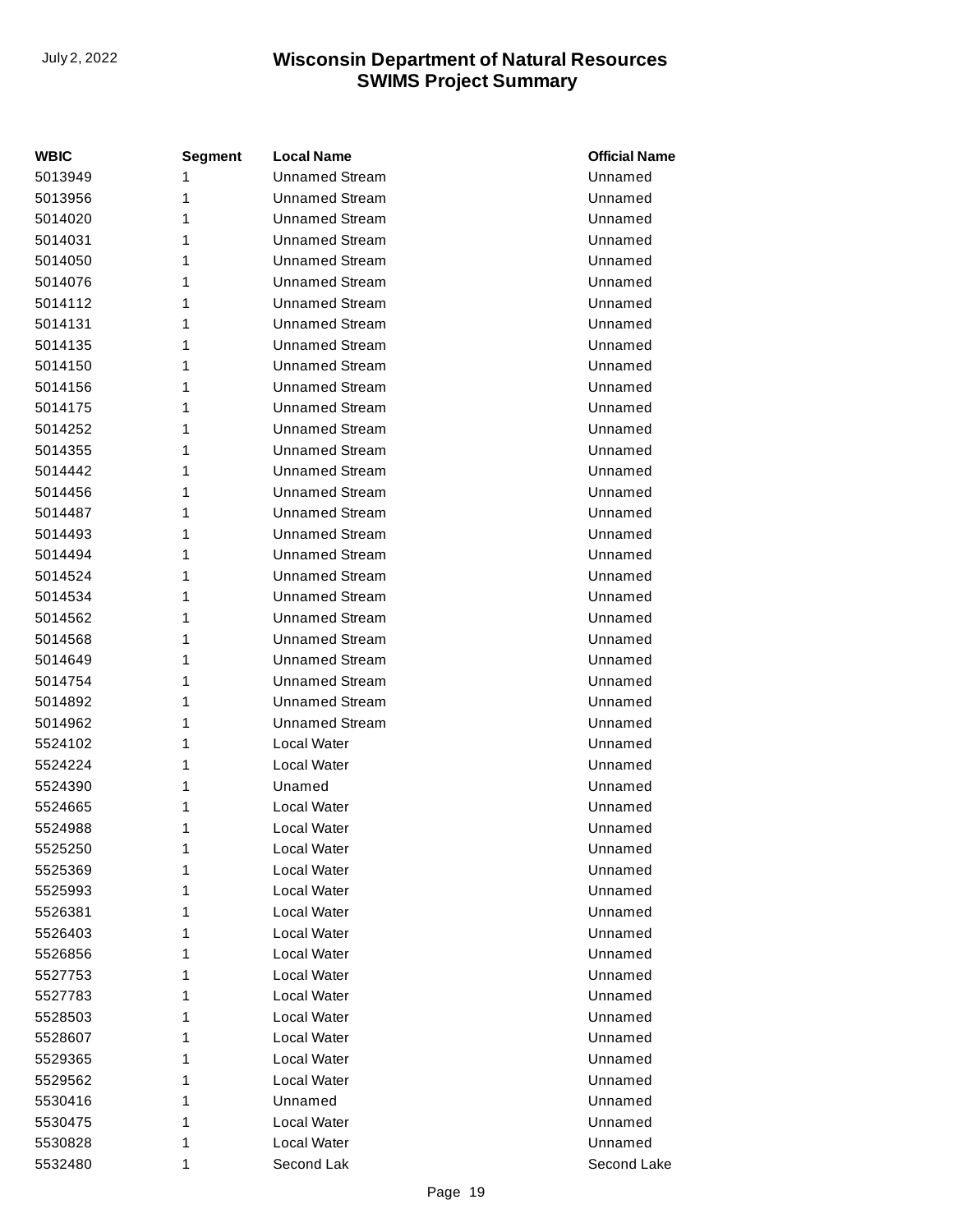| <b>WBIC</b> | <b>Segment</b> | <b>Local Name</b>     | <b>Official Name</b> |
|-------------|----------------|-----------------------|----------------------|
| 5013949     | 1              | <b>Unnamed Stream</b> | Unnamed              |
| 5013956     | 1              | <b>Unnamed Stream</b> | Unnamed              |
| 5014020     | 1              | <b>Unnamed Stream</b> | Unnamed              |
| 5014031     | 1              | <b>Unnamed Stream</b> | Unnamed              |
| 5014050     | 1              | <b>Unnamed Stream</b> | Unnamed              |
| 5014076     | 1              | <b>Unnamed Stream</b> | Unnamed              |
| 5014112     | 1              | <b>Unnamed Stream</b> | Unnamed              |
| 5014131     | 1              | <b>Unnamed Stream</b> | Unnamed              |
| 5014135     | 1              | <b>Unnamed Stream</b> | Unnamed              |
| 5014150     | 1              | <b>Unnamed Stream</b> | Unnamed              |
| 5014156     | 1              | <b>Unnamed Stream</b> | Unnamed              |
| 5014175     | 1              | <b>Unnamed Stream</b> | Unnamed              |
| 5014252     | 1              | <b>Unnamed Stream</b> | Unnamed              |
| 5014355     | 1              | <b>Unnamed Stream</b> | Unnamed              |
| 5014442     | 1              | <b>Unnamed Stream</b> | Unnamed              |
| 5014456     | 1              | <b>Unnamed Stream</b> | Unnamed              |
| 5014487     | 1              | <b>Unnamed Stream</b> | Unnamed              |
| 5014493     | 1              | <b>Unnamed Stream</b> | Unnamed              |
| 5014494     | 1              | <b>Unnamed Stream</b> | Unnamed              |
| 5014524     | 1              | <b>Unnamed Stream</b> | Unnamed              |
| 5014534     | 1              | <b>Unnamed Stream</b> | Unnamed              |
| 5014562     | 1              | <b>Unnamed Stream</b> | Unnamed              |
| 5014568     | 1              | <b>Unnamed Stream</b> | Unnamed              |
| 5014649     | 1              | <b>Unnamed Stream</b> | Unnamed              |
| 5014754     | 1              | <b>Unnamed Stream</b> | Unnamed              |
| 5014892     | 1              | <b>Unnamed Stream</b> | Unnamed              |
| 5014962     | 1              | <b>Unnamed Stream</b> | Unnamed              |
| 5524102     | 1              | Local Water           | Unnamed              |
| 5524224     | 1              | Local Water           | Unnamed              |
| 5524390     | 1              | Unamed                | Unnamed              |
| 5524665     | 1              | Local Water           | Unnamed              |
| 5524988     | 1              | Local Water           | Unnamed              |
| 5525250     | 1              | Local Water           | Unnamed              |
| 5525369     | 1              | Local Water           | Unnamed              |
| 5525993     | 1              | Local Water           | Unnamed              |
| 5526381     | 1              | Local Water           | Unnamed              |
| 5526403     | 1              | Local Water           | Unnamed              |
| 5526856     | 1              | Local Water           | Unnamed              |
| 5527753     | 1              | Local Water           | Unnamed              |
| 5527783     | 1              | Local Water           | Unnamed              |
| 5528503     | 1              | Local Water           | Unnamed              |
| 5528607     | 1              | Local Water           | Unnamed              |
| 5529365     | 1              | Local Water           | Unnamed              |
| 5529562     | 1              | Local Water           | Unnamed              |
| 5530416     | 1              | Unnamed               | Unnamed              |
| 5530475     | 1              | Local Water           | Unnamed              |
| 5530828     | 1              | Local Water           | Unnamed              |
| 5532480     | 1              | Second Lak            | Second Lake          |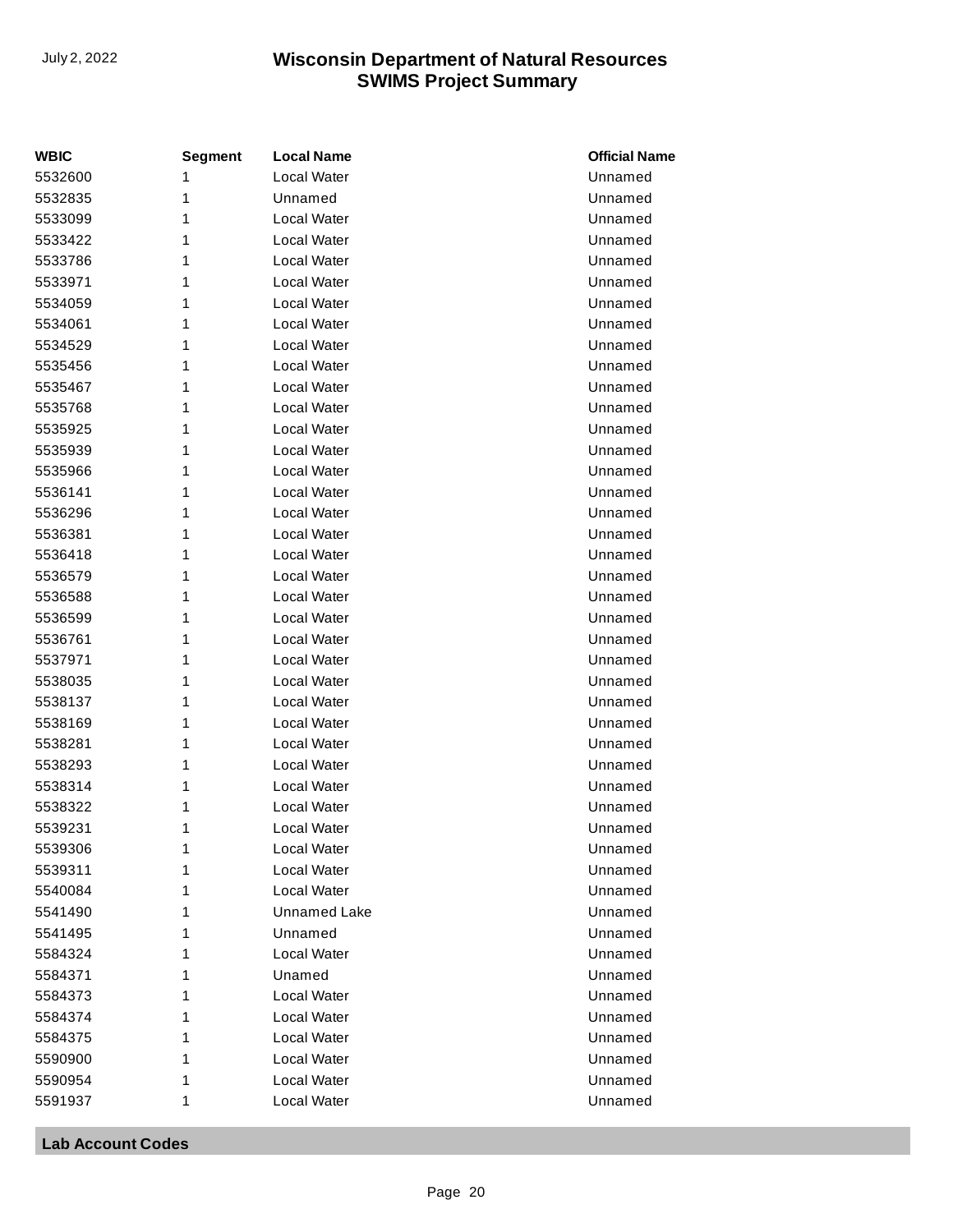| <b>WBIC</b> | <b>Segment</b> | <b>Local Name</b> | <b>Official Name</b> |
|-------------|----------------|-------------------|----------------------|
| 5532600     | 1              | Local Water       | Unnamed              |
| 5532835     | 1              | Unnamed           | Unnamed              |
| 5533099     | 1              | Local Water       | Unnamed              |
| 5533422     | 1              | Local Water       | Unnamed              |
| 5533786     | 1              | Local Water       | Unnamed              |
| 5533971     | 1              | Local Water       | Unnamed              |
| 5534059     | 1              | Local Water       | Unnamed              |
| 5534061     | 1              | Local Water       | Unnamed              |
| 5534529     | 1              | Local Water       | Unnamed              |
| 5535456     | 1              | Local Water       | Unnamed              |
| 5535467     | 1              | Local Water       | Unnamed              |
| 5535768     | 1              | Local Water       | Unnamed              |
| 5535925     | 1              | Local Water       | Unnamed              |
| 5535939     | 1              | Local Water       | Unnamed              |
| 5535966     | 1              | Local Water       | Unnamed              |
| 5536141     | 1              | Local Water       | Unnamed              |
| 5536296     | 1              | Local Water       | Unnamed              |
| 5536381     | 1              | Local Water       | Unnamed              |
| 5536418     | 1              | Local Water       | Unnamed              |
| 5536579     | 1              | Local Water       | Unnamed              |
| 5536588     | 1              | Local Water       | Unnamed              |
| 5536599     | 1              | Local Water       | Unnamed              |
| 5536761     | 1              | Local Water       | Unnamed              |
| 5537971     | 1              | Local Water       | Unnamed              |
| 5538035     | 1              | Local Water       | Unnamed              |
| 5538137     | 1              | Local Water       | Unnamed              |
| 5538169     | 1              | Local Water       | Unnamed              |
| 5538281     | 1              | Local Water       | Unnamed              |
| 5538293     | 1              | Local Water       | Unnamed              |
| 5538314     | 1              | Local Water       | Unnamed              |
| 5538322     | 1              | Local Water       | Unnamed              |
| 5539231     | 1              | Local Water       | Unnamed              |
| 5539306     | 1              | Local Water       | Unnamed              |
| 5539311     | 1              | Local Water       | Unnamed              |
| 5540084     | 1              | Local Water       | Unnamed              |
| 5541490     | 1              | Unnamed Lake      | Unnamed              |
| 5541495     | 1              | Unnamed           | Unnamed              |
| 5584324     | 1              | Local Water       | Unnamed              |
| 5584371     | 1              | Unamed            | Unnamed              |
| 5584373     | 1              | Local Water       | Unnamed              |
| 5584374     | 1              | Local Water       | Unnamed              |
| 5584375     | 1              | Local Water       | Unnamed              |
| 5590900     | 1              | Local Water       | Unnamed              |
| 5590954     | 1              | Local Water       | Unnamed              |
| 5591937     | 1              | Local Water       | Unnamed              |

**Lab Account Codes**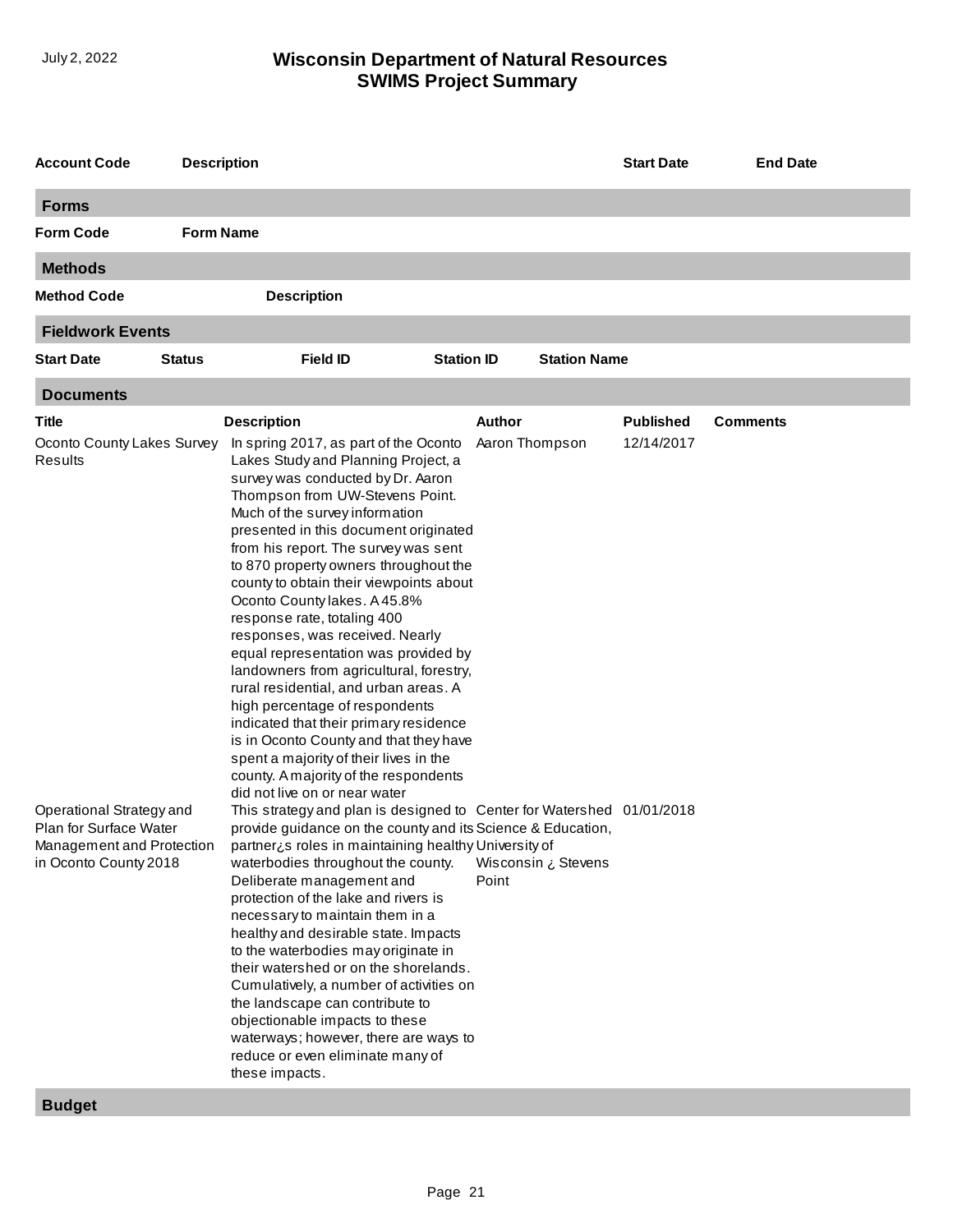| <b>Account Code</b>                                                                                                                                        | <b>Description</b> |                                                                                                                                                                                                                                                                                                                                                                                                                                                                                                                                                                                                                                                                                                                                                                                                                                                                                                                                                                                                                                                                                                                                                                                                                                                                                                                                                                                                                                                                                                                                                 |                   |                                          |                     | <b>Start Date</b>              | <b>End Date</b> |
|------------------------------------------------------------------------------------------------------------------------------------------------------------|--------------------|-------------------------------------------------------------------------------------------------------------------------------------------------------------------------------------------------------------------------------------------------------------------------------------------------------------------------------------------------------------------------------------------------------------------------------------------------------------------------------------------------------------------------------------------------------------------------------------------------------------------------------------------------------------------------------------------------------------------------------------------------------------------------------------------------------------------------------------------------------------------------------------------------------------------------------------------------------------------------------------------------------------------------------------------------------------------------------------------------------------------------------------------------------------------------------------------------------------------------------------------------------------------------------------------------------------------------------------------------------------------------------------------------------------------------------------------------------------------------------------------------------------------------------------------------|-------------------|------------------------------------------|---------------------|--------------------------------|-----------------|
| <b>Forms</b>                                                                                                                                               |                    |                                                                                                                                                                                                                                                                                                                                                                                                                                                                                                                                                                                                                                                                                                                                                                                                                                                                                                                                                                                                                                                                                                                                                                                                                                                                                                                                                                                                                                                                                                                                                 |                   |                                          |                     |                                |                 |
| <b>Form Code</b>                                                                                                                                           | <b>Form Name</b>   |                                                                                                                                                                                                                                                                                                                                                                                                                                                                                                                                                                                                                                                                                                                                                                                                                                                                                                                                                                                                                                                                                                                                                                                                                                                                                                                                                                                                                                                                                                                                                 |                   |                                          |                     |                                |                 |
| <b>Methods</b>                                                                                                                                             |                    |                                                                                                                                                                                                                                                                                                                                                                                                                                                                                                                                                                                                                                                                                                                                                                                                                                                                                                                                                                                                                                                                                                                                                                                                                                                                                                                                                                                                                                                                                                                                                 |                   |                                          |                     |                                |                 |
| <b>Method Code</b>                                                                                                                                         |                    | <b>Description</b>                                                                                                                                                                                                                                                                                                                                                                                                                                                                                                                                                                                                                                                                                                                                                                                                                                                                                                                                                                                                                                                                                                                                                                                                                                                                                                                                                                                                                                                                                                                              |                   |                                          |                     |                                |                 |
| <b>Fieldwork Events</b>                                                                                                                                    |                    |                                                                                                                                                                                                                                                                                                                                                                                                                                                                                                                                                                                                                                                                                                                                                                                                                                                                                                                                                                                                                                                                                                                                                                                                                                                                                                                                                                                                                                                                                                                                                 |                   |                                          |                     |                                |                 |
| <b>Start Date</b>                                                                                                                                          | <b>Status</b>      | <b>Field ID</b>                                                                                                                                                                                                                                                                                                                                                                                                                                                                                                                                                                                                                                                                                                                                                                                                                                                                                                                                                                                                                                                                                                                                                                                                                                                                                                                                                                                                                                                                                                                                 | <b>Station ID</b> |                                          | <b>Station Name</b> |                                |                 |
| <b>Documents</b>                                                                                                                                           |                    |                                                                                                                                                                                                                                                                                                                                                                                                                                                                                                                                                                                                                                                                                                                                                                                                                                                                                                                                                                                                                                                                                                                                                                                                                                                                                                                                                                                                                                                                                                                                                 |                   |                                          |                     |                                |                 |
| Title<br>Oconto County Lakes Survey<br>Results<br>Operational Strategy and<br>Plan for Surface Water<br>Management and Protection<br>in Oconto County 2018 |                    | <b>Description</b><br>In spring 2017, as part of the Oconto<br>Lakes Study and Planning Project, a<br>survey was conducted by Dr. Aaron<br>Thompson from UW-Stevens Point.<br>Much of the survey information<br>presented in this document originated<br>from his report. The survey was sent<br>to 870 property owners throughout the<br>county to obtain their viewpoints about<br>Oconto County lakes. A 45.8%<br>response rate, totaling 400<br>responses, was received. Nearly<br>equal representation was provided by<br>landowners from agricultural, forestry,<br>rural residential, and urban areas. A<br>high percentage of respondents<br>indicated that their primary residence<br>is in Oconto County and that they have<br>spent a majority of their lives in the<br>county. A majority of the respondents<br>did not live on or near water<br>This strategy and plan is designed to Center for Watershed 01/01/2018<br>provide guidance on the county and its Science & Education,<br>partner is roles in maintaining healthy University of<br>waterbodies throughout the county.<br>Deliberate management and<br>protection of the lake and rivers is<br>necessary to maintain them in a<br>healthy and desirable state. Impacts<br>to the waterbodies may originate in<br>their watershed or on the shorelands.<br>Cumulatively, a number of activities on<br>the landscape can contribute to<br>objectionable impacts to these<br>waterways; however, there are ways to<br>reduce or even eliminate many of<br>these impacts. |                   | <b>Author</b><br>Aaron Thompson<br>Point | Wisconsin ¿ Stevens | <b>Published</b><br>12/14/2017 | <b>Comments</b> |